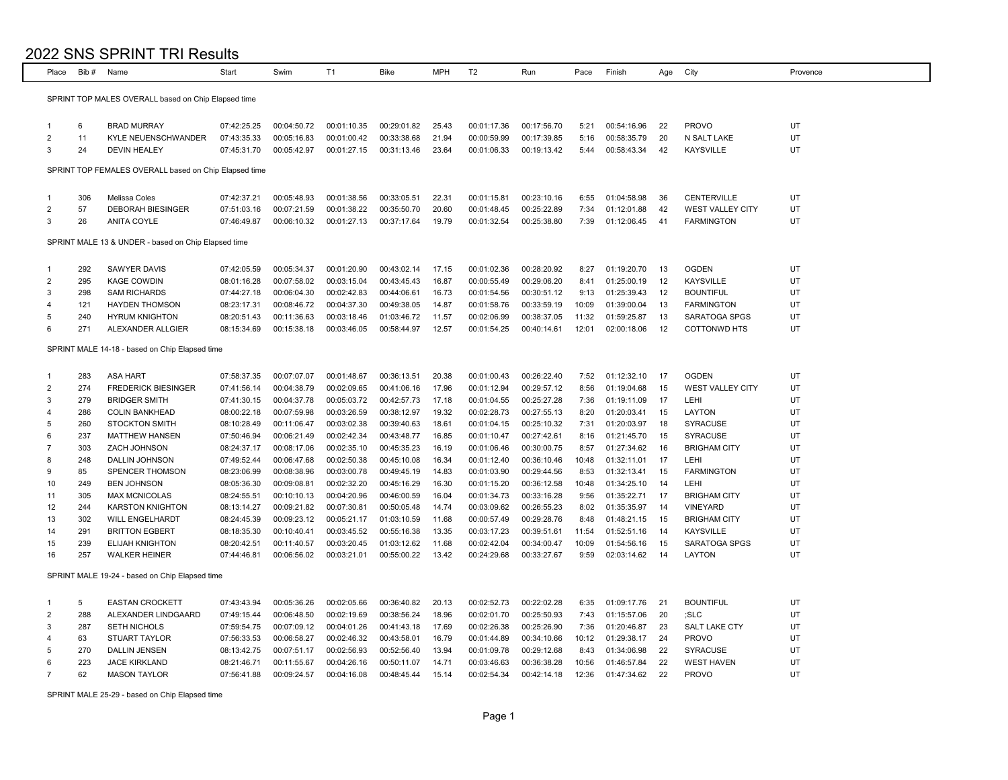| Place          | Bib#       | Name                                                  | Start       | Swim        | T <sub>1</sub> | Bike        | <b>MPH</b> | T <sub>2</sub> | Run         | Pace  | Finish      | Age | City                    | Provence |
|----------------|------------|-------------------------------------------------------|-------------|-------------|----------------|-------------|------------|----------------|-------------|-------|-------------|-----|-------------------------|----------|
|                |            |                                                       |             |             |                |             |            |                |             |       |             |     |                         |          |
|                |            | SPRINT TOP MALES OVERALL based on Chip Elapsed time   |             |             |                |             |            |                |             |       |             |     |                         |          |
|                |            |                                                       |             |             |                |             |            |                |             |       |             |     |                         |          |
| $\mathbf{1}$   | 6          | <b>BRAD MURRAY</b>                                    | 07:42:25.25 | 00:04:50.72 | 00:01:10.35    | 00:29:01.82 | 25.43      | 00:01:17.36    | 00:17:56.70 | 5:21  | 00:54:16.96 | 22  | <b>PROVO</b>            | UT       |
| $\overline{2}$ | 11         | KYLE NEUENSCHWANDER                                   | 07:43:35.33 | 00:05:16.83 | 00:01:00.42    | 00:33:38.68 | 21.94      | 00:00:59.99    | 00:17:39.85 | 5:16  | 00:58:35.79 | 20  | N SALT LAKE             | UT       |
| 3              | 24         | <b>DEVIN HEALEY</b>                                   | 07:45:31.70 | 00:05:42.97 | 00:01:27.15    | 00:31:13.46 | 23.64      | 00:01:06.33    | 00:19:13.42 | 5:44  | 00:58:43.34 | 42  | <b>KAYSVILLE</b>        | UT       |
|                |            | SPRINT TOP FEMALES OVERALL based on Chip Elapsed time |             |             |                |             |            |                |             |       |             |     |                         |          |
|                |            |                                                       |             |             |                |             |            |                |             |       |             |     |                         |          |
| $\mathbf{1}$   | 306        | Melissa Coles                                         | 07:42:37.21 | 00:05:48.93 | 00:01:38.56    | 00:33:05.51 | 22.31      | 00:01:15.81    | 00:23:10.16 | 6:55  | 01:04:58.98 | -36 | CENTERVILLE             | UT       |
| $\overline{2}$ | 57         | <b>DEBORAH BIESINGER</b>                              | 07:51:03.16 | 00:07:21.59 | 00:01:38.22    | 00:35:50.70 | 20.60      | 00:01:48.45    | 00:25:22.89 | 7:34  | 01:12:01.88 | 42  | <b>WEST VALLEY CITY</b> | UT       |
| 3              | 26         | ANITA COYLE                                           | 07:46:49.87 | 00:06:10.32 | 00:01:27.13    | 00:37:17.64 | 19.79      | 00:01:32.54    | 00:25:38.80 | 7:39  | 01:12:06.45 | 41  | <b>FARMINGTON</b>       | UT       |
|                |            |                                                       |             |             |                |             |            |                |             |       |             |     |                         |          |
|                |            | SPRINT MALE 13 & UNDER - based on Chip Elapsed time   |             |             |                |             |            |                |             |       |             |     |                         |          |
|                |            |                                                       |             |             |                |             |            |                |             |       |             |     |                         |          |
| $\mathbf{1}$   | 292        | SAWYER DAVIS                                          | 07:42:05.59 | 00:05:34.37 | 00:01:20.90    | 00:43:02.14 | 17.15      | 00:01:02.36    | 00:28:20.92 | 8:27  | 01:19:20.70 | 13  | <b>OGDEN</b>            | UT       |
| $\overline{2}$ | 295        | <b>KAGE COWDIN</b>                                    | 08:01:16.28 | 00:07:58.02 | 00:03:15.04    | 00:43:45.43 | 16.87      | 00:00:55.49    | 00:29:06.20 | 8:41  | 01:25:00.19 | 12  | <b>KAYSVILLE</b>        | UT       |
| 3              | 298        | <b>SAM RICHARDS</b>                                   | 07:44:27.18 | 00:06:04.30 | 00:02:42.83    | 00:44:06.61 | 16.73      | 00:01:54.56    | 00:30:51.12 | 9:13  | 01:25:39.43 | 12  | <b>BOUNTIFUL</b>        | UT       |
| $\overline{4}$ | 121        | <b>HAYDEN THOMSON</b>                                 | 08:23:17.31 | 00:08:46.72 | 00:04:37.30    | 00:49:38.05 | 14.87      | 00:01:58.76    | 00:33:59.19 | 10:09 | 01:39:00.04 | 13  | <b>FARMINGTON</b>       | UT       |
| 5<br>6         | 240<br>271 | <b>HYRUM KNIGHTON</b>                                 | 08:20:51.43 | 00:11:36.63 | 00:03:18.46    | 01:03:46.72 | 11.57      | 00:02:06.99    | 00:38:37.05 | 11:32 | 01:59:25.87 | 13  | SARATOGA SPGS           | UT<br>UT |
|                |            | ALEXANDER ALLGIER                                     | 08:15:34.69 | 00:15:38.18 | 00:03:46.05    | 00:58:44.97 | 12.57      | 00:01:54.25    | 00:40:14.61 | 12:01 | 02:00:18.06 | 12  | <b>COTTONWD HTS</b>     |          |
|                |            | SPRINT MALE 14-18 - based on Chip Elapsed time        |             |             |                |             |            |                |             |       |             |     |                         |          |
|                |            |                                                       |             |             |                |             |            |                |             |       |             |     |                         |          |
| $\mathbf{1}$   | 283        | <b>ASA HART</b>                                       | 07:58:37.35 | 00:07:07.07 | 00:01:48.67    | 00:36:13.51 | 20.38      | 00:01:00.43    | 00:26:22.40 | 7:52  | 01:12:32.10 | -17 | <b>OGDEN</b>            | UT       |
| $\overline{2}$ | 274        | <b>FREDERICK BIESINGER</b>                            | 07:41:56.14 | 00:04:38.79 | 00:02:09.65    | 00:41:06.16 | 17.96      | 00:01:12.94    | 00:29:57.12 | 8:56  | 01:19:04.68 | 15  | <b>WEST VALLEY CITY</b> | UT       |
| 3              | 279        | <b>BRIDGER SMITH</b>                                  | 07:41:30.15 | 00:04:37.78 | 00:05:03.72    | 00:42:57.73 | 17.18      | 00:01:04.55    | 00:25:27.28 | 7:36  | 01:19:11.09 | 17  | LEHI                    | UT       |
| $\overline{4}$ | 286        | <b>COLIN BANKHEAD</b>                                 | 08:00:22.18 | 00:07:59.98 | 00:03:26.59    | 00:38:12.97 | 19.32      | 00:02:28.73    | 00:27:55.13 | 8:20  | 01:20:03.41 | 15  | LAYTON                  | UT       |
| 5              | 260        | <b>STOCKTON SMITH</b>                                 | 08:10:28.49 | 00:11:06.47 | 00:03:02.38    | 00:39:40.63 | 18.61      | 00:01:04.15    | 00:25:10.32 | 7:31  | 01:20:03.97 | 18  | <b>SYRACUSE</b>         | UT       |
| 6              | 237        | <b>MATTHEW HANSEN</b>                                 | 07:50:46.94 | 00:06:21.49 | 00:02:42.34    | 00:43:48.77 | 16.85      | 00:01:10.47    | 00:27:42.61 | 8:16  | 01:21:45.70 | 15  | <b>SYRACUSE</b>         | UT       |
| $\overline{7}$ | 303        | ZACH JOHNSON                                          | 08:24:37.17 | 00:08:17.06 | 00:02:35.10    | 00:45:35.23 | 16.19      | 00:01:06.46    | 00:30:00.75 | 8:57  | 01:27:34.62 | 16  | <b>BRIGHAM CITY</b>     | UT       |
| 8              | 248        | DALLIN JOHNSON                                        | 07:49:52.44 | 00:06:47.68 | 00:02:50.38    | 00:45:10.08 | 16.34      | 00:01:12.40    | 00:36:10.46 | 10:48 | 01:32:11.01 | 17  | LEHI                    | UT       |
| 9              | 85         | SPENCER THOMSON                                       | 08:23:06.99 | 00:08:38.96 | 00:03:00.78    | 00:49:45.19 | 14.83      | 00:01:03.90    | 00:29:44.56 | 8:53  | 01:32:13.41 | 15  | <b>FARMINGTON</b>       | UT       |
| 10             | 249        | <b>BEN JOHNSON</b>                                    | 08:05:36.30 | 00:09:08.81 | 00:02:32.20    | 00:45:16.29 | 16.30      | 00:01:15.20    | 00:36:12.58 | 10:48 | 01:34:25.10 | 14  | <b>LEHI</b>             | UT       |
| 11             | 305        | <b>MAX MCNICOLAS</b>                                  | 08:24:55.51 | 00:10:10.13 | 00:04:20.96    | 00:46:00.59 | 16.04      | 00:01:34.73    | 00:33:16.28 | 9:56  | 01:35:22.71 | 17  | <b>BRIGHAM CITY</b>     | UT       |
| 12             | 244        | <b>KARSTON KNIGHTON</b>                               | 08:13:14.27 | 00:09:21.82 | 00:07:30.81    | 00:50:05.48 | 14.74      | 00:03:09.62    | 00:26:55.23 | 8:02  | 01:35:35.97 | 14  | <b>VINEYARD</b>         | UT       |
| 13             | 302        | <b>WILL ENGELHARDT</b>                                | 08:24:45.39 | 00:09:23.12 | 00:05:21.17    | 01:03:10.59 | 11.68      | 00:00:57.49    | 00:29:28.76 | 8:48  | 01:48:21.15 | 15  | <b>BRIGHAM CITY</b>     | UT       |
| 14             | 291        | <b>BRITTON EGBERT</b>                                 | 08:18:35.30 | 00:10:40.41 | 00:03:45.52    | 00:55:16.38 | 13.35      | 00:03:17.23    | 00:39:51.61 | 11:54 | 01:52:51.16 | 14  | <b>KAYSVILLE</b>        | UT       |
| 15             | 239        | <b>ELIJAH KNIGHTON</b>                                | 08:20:42.51 | 00:11:40.57 | 00:03:20.45    | 01:03:12.62 | 11.68      | 00:02:42.04    | 00:34:00.47 | 10:09 | 01:54:56.16 | 15  | SARATOGA SPGS           | UT       |
| 16             | 257        | <b>WALKER HEINER</b>                                  | 07:44:46.81 | 00:06:56.02 | 00:03:21.01    | 00:55:00.22 | 13.42      | 00:24:29.68    | 00:33:27.67 | 9:59  | 02:03:14.62 | 14  | LAYTON                  | UT       |
|                |            | SPRINT MALE 19-24 - based on Chip Elapsed time        |             |             |                |             |            |                |             |       |             |     |                         |          |
|                |            |                                                       |             |             |                |             |            |                |             |       |             |     |                         |          |
| $\mathbf{1}$   | 5          | <b>EASTAN CROCKETT</b>                                | 07:43:43.94 | 00:05:36.26 | 00:02:05.66    | 00:36:40.82 | 20.13      | 00:02:52.73    | 00:22:02.28 | 6:35  | 01:09:17.76 | -21 | <b>BOUNTIFUL</b>        | UT       |
| $\overline{2}$ | 288        | ALEXANDER LINDGAARD                                   | 07:49:15.44 | 00:06:48.50 | 00:02:19.69    | 00:38:56.24 | 18.96      | 00:02:01.70    | 00:25:50.93 | 7:43  | 01:15:57.06 | 20  | ;SLC                    | UT       |
| 3              | 287        | <b>SETH NICHOLS</b>                                   | 07:59:54.75 | 00:07:09.12 | 00:04:01.26    | 00:41:43.18 | 17.69      | 00:02:26.38    | 00:25:26.90 | 7:36  | 01:20:46.87 | 23  | SALT LAKE CTY           | UT       |
| 4              | 63         | STUART TAYLOR                                         | 07:56:33.53 | 00:06:58.27 | 00:02:46.32    | 00:43:58.01 | 16.79      | 00:01:44.89    | 00:34:10.66 | 10:12 | 01:29:38.17 | -24 | <b>PROVO</b>            | UT       |
| 5              | 270        | <b>DALLIN JENSEN</b>                                  | 08:13:42.75 | 00:07:51.17 | 00:02:56.93    | 00:52:56.40 | 13.94      | 00:01:09.78    | 00:29:12.68 | 8:43  | 01:34:06.98 | 22  | <b>SYRACUSE</b>         | UT       |
| 6              | 223        | <b>JACE KIRKLAND</b>                                  | 08:21:46.71 | 00:11:55.67 | 00:04:26.16    | 00:50:11.07 | 14.71      | 00:03:46.63    | 00:36:38.28 | 10:56 | 01:46:57.84 | 22  | <b>WEST HAVEN</b>       | UT       |
| $\overline{7}$ | 62         | <b>MASON TAYLOR</b>                                   | 07:56:41.88 | 00:09:24.57 | 00:04:16.08    | 00:48:45.44 | 15.14      | 00:02:54.34    | 00:42:14.18 | 12:36 | 01:47:34.62 | 22  | <b>PROVO</b>            | UT       |

SPRINT MALE 25-29 - based on Chip Elapsed time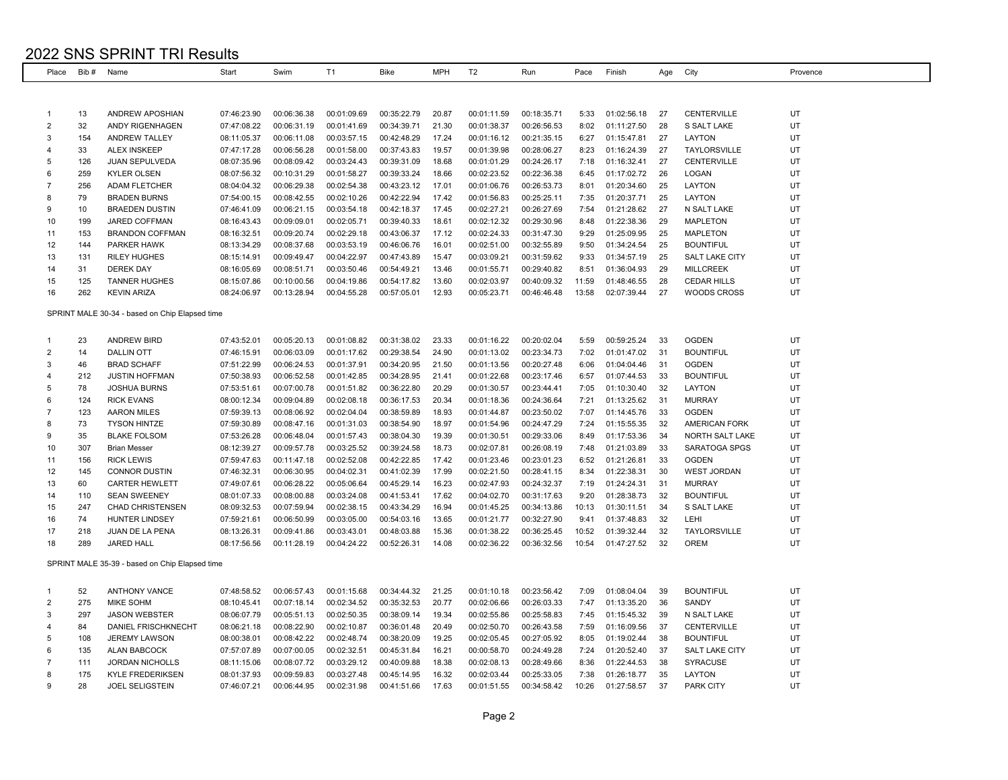| Place          | Bib#       | Name                                           | Start       | Swim        | T <sub>1</sub> | <b>Bike</b> | MPH            | T <sub>2</sub> | Run         | Pace           | Finish      | Age      | City                               | Provence |
|----------------|------------|------------------------------------------------|-------------|-------------|----------------|-------------|----------------|----------------|-------------|----------------|-------------|----------|------------------------------------|----------|
|                |            |                                                |             |             |                |             |                |                |             |                |             |          |                                    |          |
|                |            |                                                |             |             |                |             |                |                |             |                |             |          |                                    |          |
| $\mathbf{1}$   | 13         | <b>ANDREW APOSHIAN</b>                         | 07:46:23.90 | 00:06:36.38 | 00:01:09.69    | 00:35:22.79 | 20.87          | 00:01:11.59    | 00:18:35.71 | 5:33           | 01:02:56.18 | 27       | <b>CENTERVILLE</b>                 | UT       |
| 2              | 32         | ANDY RIGENHAGEN                                | 07:47:08.22 | 00:06:31.19 | 00:01:41.69    | 00:34:39.71 | 21.30          | 00:01:38.37    | 00:26:56.53 | 8:02           | 01:11:27.50 | 28       | S SALT LAKE                        | UT       |
| 3              | 154        | ANDREW TALLEY                                  | 08:11:05.37 | 00:06:11.08 | 00:03:57.15    | 00:42:48.29 | 17.24          | 00:01:16.12    | 00:21:35.15 | 6:27           | 01:15:47.81 | 27       | LAYTON                             | UT       |
| 4              | 33         | <b>ALEX INSKEEP</b>                            | 07:47:17.28 | 00:06:56.28 | 00:01:58.00    | 00:37:43.83 | 19.57          | 00:01:39.98    | 00:28:06.27 | 8:23           | 01:16:24.39 | 27       | TAYLORSVILLE                       | UT       |
| 5              | 126        | JUAN SEPULVEDA                                 | 08:07:35.96 | 00:08:09.42 | 00:03:24.43    | 00:39:31.09 | 18.68          | 00:01:01.29    | 00:24:26.17 | 7:18           | 01:16:32.41 | 27       | CENTERVILLE                        | UT       |
| 6              | 259        | <b>KYLER OLSEN</b>                             | 08:07:56.32 | 00:10:31.29 | 00:01:58.27    | 00:39:33.24 | 18.66          | 00:02:23.52    | 00:22:36.38 | 6:45           | 01:17:02.72 | 26       | LOGAN                              | UT       |
| $\overline{7}$ | 256        | <b>ADAM FLETCHER</b>                           | 08:04:04.32 | 00:06:29.38 | 00:02:54.38    | 00:43:23.12 | 17.01          | 00:01:06.76    | 00:26:53.73 | 8:01           | 01:20:34.60 | 25       | LAYTON                             | UT       |
| 8              | 79         | <b>BRADEN BURNS</b>                            | 07:54:00.15 | 00:08:42.55 | 00:02:10.26    | 00:42:22.94 | 17.42          | 00:01:56.83    | 00:25:25.11 | 7:35           | 01:20:37.71 | 25       | LAYTON                             | UT       |
| 9              | 10         | <b>BRAEDEN DUSTIN</b>                          | 07:46:41.09 | 00:06:21.15 | 00:03:54.18    | 00:42:18.37 | 17.45          | 00:02:27.21    | 00:26:27.69 | 7:54           | 01:21:28.62 | 27       | N SALT LAKE                        | UT       |
| 10             | 199        | JARED COFFMAN                                  | 08:16:43.43 | 00:09:09.01 | 00:02:05.71    | 00:39:40.33 | 18.61          | 00:02:12.32    | 00:29:30.96 | 8:48           | 01:22:38.36 | 29       | <b>MAPLETON</b>                    | UT       |
| 11             | 153        | <b>BRANDON COFFMAN</b>                         | 08:16:32.51 | 00:09:20.74 | 00:02:29.18    | 00:43:06.37 | 17.12          | 00:02:24.33    | 00:31:47.30 | 9:29           | 01:25:09.95 | 25       | <b>MAPLETON</b>                    | UT       |
| 12             | 144        | <b>PARKER HAWK</b>                             | 08:13:34.29 | 00:08:37.68 | 00:03:53.19    | 00:46:06.76 | 16.01          | 00:02:51.00    | 00:32:55.89 | 9:50           | 01:34:24.54 | 25       | <b>BOUNTIFUL</b>                   | UT       |
| 13             | 131        | <b>RILEY HUGHES</b>                            | 08:15:14.91 | 00:09:49.47 | 00:04:22.97    | 00:47:43.89 | 15.47          | 00:03:09.21    | 00:31:59.62 | 9:33           | 01:34:57.19 | 25       | <b>SALT LAKE CITY</b>              | UT       |
| 14             | 31         | <b>DEREK DAY</b>                               | 08:16:05.69 | 00:08:51.71 | 00:03:50.46    | 00:54:49.21 | 13.46          | 00:01:55.71    | 00:29:40.82 | 8:51           | 01:36:04.93 | 29       | <b>MILLCREEK</b>                   | UT       |
| 15             | 125        | <b>TANNER HUGHES</b>                           | 08:15:07.86 | 00:10:00.56 | 00:04:19.86    | 00:54:17.82 | 13.60          | 00:02:03.97    | 00:40:09.32 | 11:59          | 01:48:46.55 | 28       | <b>CEDAR HILLS</b>                 | UT       |
| 16             | 262        | <b>KEVIN ARIZA</b>                             | 08:24:06.97 | 00:13:28.94 | 00:04:55.28    | 00:57:05.01 | 12.93          | 00:05:23.71    | 00:46:46.48 | 13:58          | 02:07:39.44 | 27       | WOODS CROSS                        | UT       |
|                |            |                                                |             |             |                |             |                |                |             |                |             |          |                                    |          |
|                |            | SPRINT MALE 30-34 - based on Chip Elapsed time |             |             |                |             |                |                |             |                |             |          |                                    |          |
|                |            |                                                |             |             |                |             |                |                |             |                |             |          |                                    |          |
| $\mathbf{1}$   | 23         | <b>ANDREW BIRD</b>                             | 07:43:52.01 | 00:05:20.13 | 00:01:08.82    | 00:31:38.02 | 23.33          | 00:01:16.22    | 00:20:02.04 | 5:59           | 00:59:25.24 | 33       | <b>OGDEN</b>                       | UT       |
| 2              | 14         | <b>DALLIN OTT</b>                              | 07:46:15.91 | 00:06:03.09 | 00:01:17.62    | 00:29:38.54 | 24.90          | 00:01:13.02    | 00:23:34.73 | 7:02           | 01:01:47.02 | 31       | <b>BOUNTIFUL</b>                   | UT       |
| 3              | 46         | <b>BRAD SCHAFF</b>                             | 07:51:22.99 | 00:06:24.53 | 00:01:37.91    | 00:34:20.95 | 21.50          | 00:01:13.56    | 00:20:27.48 | 6:06           | 01:04:04.46 | 31       | <b>OGDEN</b>                       | UT       |
| 4              | 212        | <b>JUSTIN HOFFMAN</b>                          | 07:50:38.93 | 00:06:52.58 | 00:01:42.85    | 00:34:28.95 | 21.41          | 00:01:22.68    | 00:23:17.46 | 6:57           | 01:07:44.53 | -33      | <b>BOUNTIFUL</b>                   | UT       |
| 5              | 78         | <b>JOSHUA BURNS</b>                            | 07:53:51.61 | 00:07:00.78 | 00:01:51.82    | 00:36:22.80 | 20.29          | 00:01:30.57    | 00:23:44.41 | 7:05           | 01:10:30.40 | 32       | LAYTON                             | UT       |
| 6              | 124        | <b>RICK EVANS</b>                              | 08:00:12.34 | 00:09:04.89 | 00:02:08.18    | 00:36:17.53 | 20.34          | 00:01:18.36    | 00:24:36.64 | 7:21           | 01:13:25.62 | 31       | <b>MURRAY</b>                      | UT       |
| $\overline{7}$ | 123        | <b>AARON MILES</b>                             | 07:59:39.13 | 00:08:06.92 | 00:02:04.04    | 00:38:59.89 | 18.93          | 00:01:44.87    | 00:23:50.02 | 7:07           | 01:14:45.76 | 33       | <b>OGDEN</b>                       | UT       |
| 8              | 73         | <b>TYSON HINTZE</b>                            | 07:59:30.89 | 00:08:47.16 | 00:01:31.03    | 00:38:54.90 | 18.97          | 00:01:54.96    | 00:24:47.29 | 7:24           | 01:15:55.35 | 32       | <b>AMERICAN FORK</b>               | UT       |
| 9              | 35         | <b>BLAKE FOLSOM</b>                            | 07:53:26.28 | 00:06:48.04 | 00:01:57.43    | 00:38:04.30 | 19.39          | 00:01:30.51    | 00:29:33.06 | 8:49           | 01:17:53.36 | -34      | NORTH SALT LAKE                    | UT       |
| 10             | 307        | <b>Brian Messer</b>                            | 08:12:39.27 | 00:09:57.78 | 00:03:25.52    | 00:39:24.58 | 18.73          | 00:02:07.81    | 00:26:08.19 | 7:48           | 01:21:03.89 | 33       | <b>SARATOGA SPGS</b>               | UT       |
| 11             | 156        | <b>RICK LEWIS</b>                              | 07:59:47.63 | 00:11:47.18 | 00:02:52.08    | 00:42:22.85 | 17.42          | 00:01:23.46    | 00:23:01.23 | 6:52           | 01:21:26.81 | 33       | <b>OGDEN</b>                       | UT       |
| 12             | 145        | <b>CONNOR DUSTIN</b>                           | 07:46:32.31 | 00:06:30.95 | 00:04:02.31    | 00:41:02.39 | 17.99          | 00:02:21.50    | 00:28:41.15 | 8:34           | 01:22:38.31 | 30       | <b>WEST JORDAN</b>                 | UT       |
| 13             | 60         | <b>CARTER HEWLETT</b>                          | 07:49:07.61 | 00:06:28.22 | 00:05:06.64    | 00:45:29.14 | 16.23          | 00:02:47.93    | 00:24:32.37 | 7:19           | 01:24:24.31 | 31       | <b>MURRAY</b>                      | UT       |
| 14             | 110        | <b>SEAN SWEENEY</b>                            | 08:01:07.33 | 00:08:00.88 | 00:03:24.08    | 00:41:53.41 | 17.62          | 00:04:02.70    | 00:31:17.63 | 9:20           | 01:28:38.73 | 32       | <b>BOUNTIFUL</b>                   | UT       |
| 15             | 247        | <b>CHAD CHRISTENSEN</b>                        | 08:09:32.53 | 00:07:59.94 | 00:02:38.15    | 00:43:34.29 | 16.94          | 00:01:45.25    | 00:34:13.86 | 10:13          | 01:30:11.51 | 34       | S SALT LAKE                        | UT       |
| 16             | 74         | <b>HUNTER LINDSEY</b>                          | 07:59:21.61 | 00:06:50.99 | 00:03:05.00    | 00:54:03.16 | 13.65          | 00:01:21.77    | 00:32:27.90 | 9:41           | 01:37:48.83 | 32       | LEHI                               | UT       |
| 17<br>18       | 218<br>289 | JUAN DE LA PENA<br><b>JARED HALL</b>           | 08:13:26.31 | 00:09:41.86 | 00:03:43.01    | 00:48:03.88 | 15.36<br>14.08 | 00:01:38.22    | 00:36:25.45 | 10:52<br>10:54 | 01:39:32.44 | 32<br>32 | <b>TAYLORSVILLE</b><br><b>OREM</b> | UT<br>UT |
|                |            |                                                | 08:17:56.56 | 00:11:28.19 | 00:04:24.22    | 00:52:26.31 |                | 00:02:36.22    | 00:36:32.56 |                | 01:47:27.52 |          |                                    |          |
|                |            | SPRINT MALE 35-39 - based on Chip Elapsed time |             |             |                |             |                |                |             |                |             |          |                                    |          |
|                |            |                                                |             |             |                |             |                |                |             |                |             |          |                                    |          |
| 1              | 52         | <b>ANTHONY VANCE</b>                           | 07:48:58.52 | 00:06:57.43 | 00:01:15.68    | 00:34:44.32 | 21.25          | 00:01:10.18    | 00:23:56.42 | 7:09           | 01:08:04.04 | 39       | <b>BOUNTIFUL</b>                   | UT       |
| $\overline{2}$ | 275        | <b>MIKE SOHM</b>                               | 08:10:45.41 | 00:07:18.14 | 00:02:34.52    | 00:35:32.53 | 20.77          | 00:02:06.66    | 00:26:03.33 | 7:47           | 01:13:35.20 | 36       | <b>SANDY</b>                       | UT       |
| 3              | 297        | <b>JASON WEBSTER</b>                           | 08:06:07.79 | 00:05:51.13 | 00:02:50.35    | 00:38:09.14 | 19.34          | 00:02:55.86    | 00:25:58.83 | 7:45           | 01:15:45.32 | 39       | N SALT LAKE                        | UT       |
| 4              | 84         | DANIEL FRISCHKNECHT                            | 08:06:21.18 | 00:08:22.90 | 00:02:10.87    | 00:36:01.48 | 20.49          | 00:02:50.70    | 00:26:43.58 | 7:59           | 01:16:09.56 | -37      | CENTERVILLE                        | UT       |
| 5              | 108        | <b>JEREMY LAWSON</b>                           | 08:00:38.01 | 00:08:42.22 | 00:02:48.74    | 00:38:20.09 | 19.25          | 00:02:05.45    | 00:27:05.92 | 8:05           | 01:19:02.44 | 38       | <b>BOUNTIFUL</b>                   | UT       |
| 6              | 135        | <b>ALAN BABCOCK</b>                            | 07:57:07.89 | 00:07:00.05 | 00:02:32.51    | 00:45:31.84 | 16.21          | 00:00:58.70    | 00:24:49.28 | 7:24           | 01:20:52.40 | 37       | <b>SALT LAKE CITY</b>              | UT       |
| $\overline{7}$ | 111        | <b>JORDAN NICHOLLS</b>                         | 08:11:15.06 | 00:08:07.72 | 00:03:29.12    | 00:40:09.88 | 18.38          | 00:02:08.13    | 00:28:49.66 | 8:36           | 01:22:44.53 | 38       | <b>SYRACUSE</b>                    | UT       |
| 8              | 175        | <b>KYLE FREDERIKSEN</b>                        | 08:01:37.93 | 00:09:59.83 | 00:03:27.48    | 00:45:14.95 | 16.32          | 00:02:03.44    | 00:25:33.05 | 7:38           | 01:26:18.77 | 35       | LAYTON                             | UT       |
| 9              | 28         | <b>JOEL SELIGSTEIN</b>                         | 07:46:07.21 | 00:06:44.95 | 00:02:31.98    | 00:41:51.66 | 17.63          | 00:01:51.55    | 00:34:58.42 | 10:26          | 01:27:58.57 | 37       | <b>PARK CITY</b>                   | UT       |
|                |            |                                                |             |             |                |             |                |                |             |                |             |          |                                    |          |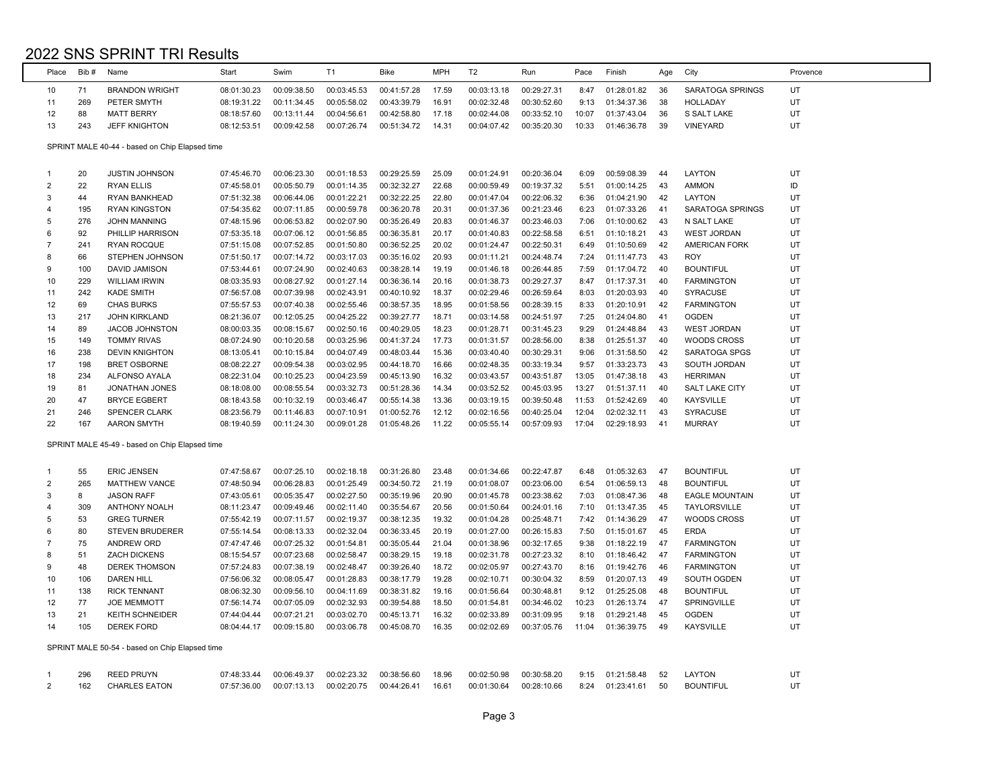| Place          | Bib# | Name                                           | Start       | Swim        | T1          | <b>Bike</b> | <b>MPH</b> | T <sub>2</sub> | Run         | Pace  | Finish      | Age | City                  | Provence |
|----------------|------|------------------------------------------------|-------------|-------------|-------------|-------------|------------|----------------|-------------|-------|-------------|-----|-----------------------|----------|
| 10             | 71   | <b>BRANDON WRIGHT</b>                          | 08:01:30.23 | 00:09:38.50 | 00:03:45.53 | 00:41:57.28 | 17.59      | 00:03:13.18    | 00:29:27.31 | 8:47  | 01:28:01.82 | 36  | SARATOGA SPRINGS      | UT       |
| 11             | 269  | PETER SMYTH                                    | 08:19:31.22 | 00:11:34.45 | 00:05:58.02 | 00:43:39.79 | 16.91      | 00:02:32.48    | 00:30:52.60 | 9:13  | 01:34:37.36 | 38  | <b>HOLLADAY</b>       | UT       |
| 12             | 88   | <b>MATT BERRY</b>                              | 08:18:57.60 | 00:13:11.44 | 00:04:56.61 | 00:42:58.80 | 17.18      | 00:02:44.08    | 00:33:52.10 | 10:07 | 01:37:43.04 | 36  | S SALT LAKE           | UT       |
| 13             | 243  | <b>JEFF KNIGHTON</b>                           | 08:12:53.51 | 00:09:42.58 | 00:07:26.74 | 00:51:34.72 | 14.31      | 00:04:07.42    | 00:35:20.30 | 10:33 | 01:46:36.78 | 39  | <b>VINEYARD</b>       | UT       |
|                |      | SPRINT MALE 40-44 - based on Chip Elapsed time |             |             |             |             |            |                |             |       |             |     |                       |          |
| -1             | 20   | <b>JUSTIN JOHNSON</b>                          | 07:45:46.70 | 00:06:23.30 | 00:01:18.53 | 00:29:25.59 | 25.09      | 00:01:24.91    | 00:20:36.04 | 6:09  | 00:59:08.39 | 44  | LAYTON                | UT       |
| $\overline{2}$ | 22   | <b>RYAN ELLIS</b>                              | 07:45:58.01 | 00:05:50.79 | 00:01:14.35 | 00:32:32.27 | 22.68      | 00:00:59.49    | 00:19:37.32 | 5:51  | 01:00:14.25 | 43  | <b>AMMON</b>          | ID       |
| 3              | 44   | <b>RYAN BANKHEAD</b>                           | 07:51:32.38 | 00:06:44.06 | 00:01:22.21 | 00:32:22.25 | 22.80      | 00:01:47.04    | 00:22:06.32 | 6:36  | 01:04:21.90 | 42  | LAYTON                | UT       |
| $\overline{4}$ | 195  | <b>RYAN KINGSTON</b>                           | 07:54:35.62 | 00:07:11.85 | 00:00:59.78 | 00:36:20.78 | 20.31      | 00:01:37.36    | 00:21:23.46 | 6:23  | 01:07:33.26 | 41  | SARATOGA SPRINGS      | UT       |
| 5              | 276  | <b>JOHN MANNING</b>                            | 07:48:15.96 | 00:06:53.82 | 00:02:07.90 | 00:35:26.49 | 20.83      | 00:01:46.37    | 00:23:46.03 | 7:06  | 01:10:00.62 | 43  | N SALT LAKE           | UT       |
| 6              | 92   | PHILLIP HARRISON                               | 07:53:35.18 | 00:07:06.12 | 00:01:56.85 | 00:36:35.81 | 20.17      | 00:01:40.83    | 00:22:58.58 | 6:51  | 01:10:18.21 | 43  | <b>WEST JORDAN</b>    | UT       |
| $\overline{7}$ | 241  | <b>RYAN ROCQUE</b>                             | 07:51:15.08 | 00:07:52.85 | 00:01:50.80 | 00:36:52.25 | 20.02      | 00:01:24.47    | 00:22:50.31 | 6:49  | 01:10:50.69 | 42  | <b>AMERICAN FORK</b>  | UT       |
| 8              | 66   | STEPHEN JOHNSON                                | 07:51:50.17 | 00:07:14.72 | 00:03:17.03 | 00:35:16.02 | 20.93      | 00:01:11.21    | 00:24:48.74 | 7:24  | 01:11:47.73 | 43  | <b>ROY</b>            | UT       |
| 9              | 100  | <b>DAVID JAMISON</b>                           | 07:53:44.61 | 00:07:24.90 | 00:02:40.63 | 00:38:28.14 | 19.19      | 00:01:46.18    | 00:26:44.85 | 7:59  | 01:17:04.72 | 40  | <b>BOUNTIFUL</b>      | UT       |
| 10             | 229  | <b>WILLIAM IRWIN</b>                           | 08:03:35.93 | 00:08:27.92 | 00:01:27.14 | 00:36:36.14 | 20.16      | 00:01:38.73    | 00:29:27.37 | 8:47  | 01:17:37.31 | 40  | <b>FARMINGTON</b>     | UT       |
| 11             | 242  | <b>KADE SMITH</b>                              | 07:56:57.08 | 00:07:39.98 | 00:02:43.91 | 00:40:10.92 | 18.37      | 00:02:29.46    | 00:26:59.64 | 8:03  | 01:20:03.93 | 40  | <b>SYRACUSE</b>       | UT       |
| 12             | 69   | <b>CHAS BURKS</b>                              | 07:55:57.53 | 00:07:40.38 | 00:02:55.46 | 00:38:57.35 | 18.95      | 00:01:58.56    | 00:28:39.15 | 8:33  | 01:20:10.91 | 42  | <b>FARMINGTON</b>     | UT       |
| 13             | 217  | <b>JOHN KIRKLAND</b>                           | 08:21:36.07 | 00:12:05.25 | 00:04:25.22 | 00:39:27.77 | 18.71      | 00:03:14.58    | 00:24:51.97 | 7:25  | 01:24:04.80 | 41  | <b>OGDEN</b>          | UT       |
| 14             | 89   | <b>JACOB JOHNSTON</b>                          | 08:00:03.35 | 00:08:15.67 | 00:02:50.16 | 00:40:29.05 | 18.23      | 00:01:28.71    | 00:31:45.23 | 9:29  | 01:24:48.84 | 43  | <b>WEST JORDAN</b>    | UT       |
| 15             | 149  | <b>TOMMY RIVAS</b>                             | 08:07:24.90 | 00:10:20.58 | 00:03:25.96 | 00:41:37.24 | 17.73      | 00:01:31.57    | 00:28:56.00 | 8:38  | 01:25:51.37 | 40  | <b>WOODS CROSS</b>    | UT       |
| 16             | 238  | <b>DEVIN KNIGHTON</b>                          | 08:13:05.41 | 00:10:15.84 | 00:04:07.49 | 00:48:03.44 | 15.36      | 00:03:40.40    | 00:30:29.31 | 9:06  | 01:31:58.50 | 42  | SARATOGA SPGS         | UT       |
| 17             | 198  | <b>BRET OSBORNE</b>                            | 08:08:22.27 | 00:09:54.38 | 00:03:02.95 | 00:44:18.70 | 16.66      | 00:02:48.35    | 00:33:19.34 | 9:57  | 01:33:23.73 | 43  | SOUTH JORDAN          | UT       |
| 18             | 234  | ALFONSO AYALA                                  | 08:22:31.04 | 00:10:25.23 | 00:04:23.59 | 00:45:13.90 | 16.32      | 00:03:43.57    | 00:43:51.87 | 13:05 | 01:47:38.18 | 43  | <b>HERRIMAN</b>       | UT       |
| 19             | 81   | <b>JONATHAN JONES</b>                          | 08:18:08.00 | 00:08:55.54 | 00:03:32.73 | 00:51:28.36 | 14.34      | 00:03:52.52    | 00:45:03.95 | 13:27 | 01:51:37.11 | 40  | <b>SALT LAKE CITY</b> | UT       |
| 20             | 47   | <b>BRYCE EGBERT</b>                            | 08:18:43.58 | 00:10:32.19 | 00:03:46.47 | 00:55:14.38 | 13.36      | 00:03:19.15    | 00:39:50.48 | 11:53 | 01:52:42.69 | 40  | <b>KAYSVILLE</b>      | UT       |
| 21             | 246  | <b>SPENCER CLARK</b>                           | 08:23:56.79 | 00:11:46.83 | 00:07:10.91 | 01:00:52.76 | 12.12      | 00:02:16.56    | 00:40:25.04 | 12:04 | 02:02:32.11 | 43  | <b>SYRACUSE</b>       | UT       |
| 22             | 167  | <b>AARON SMYTH</b>                             | 08:19:40.59 | 00:11:24.30 | 00:09:01.28 | 01:05:48.26 | 11.22      | 00:05:55.14    | 00:57:09.93 | 17:04 | 02:29:18.93 | 41  | <b>MURRAY</b>         | UT       |
|                |      | SPRINT MALE 45-49 - based on Chip Elapsed time |             |             |             |             |            |                |             |       |             |     |                       |          |
| -1             | 55   | <b>ERIC JENSEN</b>                             | 07:47:58.67 | 00:07:25.10 | 00:02:18.18 | 00:31:26.80 | 23.48      | 00:01:34.66    | 00:22:47.87 | 6:48  | 01:05:32.63 | 47  | <b>BOUNTIFUL</b>      | UT       |
| 2              | 265  | <b>MATTHEW VANCE</b>                           | 07:48:50.94 | 00:06:28.83 | 00:01:25.49 | 00:34:50.72 | 21.19      | 00:01:08.07    | 00:23:06.00 | 6:54  | 01:06:59.13 | 48  | <b>BOUNTIFUL</b>      | UT       |
| 3              | 8    | <b>JASON RAFF</b>                              | 07:43:05.61 | 00:05:35.47 | 00:02:27.50 | 00:35:19.96 | 20.90      | 00:01:45.78    | 00:23:38.62 | 7:03  | 01:08:47.36 | 48  | <b>EAGLE MOUNTAIN</b> | UT       |
| 4              | 309  | <b>ANTHONY NOALH</b>                           | 08:11:23.47 | 00:09:49.46 | 00:02:11.40 | 00:35:54.67 | 20.56      | 00:01:50.64    | 00:24:01.16 | 7:10  | 01:13:47.35 | 45  | <b>TAYLORSVILLE</b>   | UT       |
| 5              | 53   | <b>GREG TURNER</b>                             | 07:55:42.19 | 00:07:11.57 | 00:02:19.37 | 00:38:12.35 | 19.32      | 00:01:04.28    | 00:25:48.71 | 7:42  | 01:14:36.29 | 47  | <b>WOODS CROSS</b>    | UT       |
| 6              | 80   | <b>STEVEN BRUDERER</b>                         | 07:55:14.54 | 00:08:13.33 | 00:02:32.04 | 00:36:33.45 | 20.19      | 00:01:27.00    | 00:26:15.83 | 7:50  | 01:15:01.67 | 45  | <b>ERDA</b>           | UT       |
| $\overline{7}$ | 75   | ANDREW ORD                                     | 07:47:47.46 | 00:07:25.32 | 00:01:54.81 | 00:35:05.44 | 21.04      | 00:01:38.96    | 00:32:17.65 | 9:38  | 01:18:22.19 | 47  | <b>FARMINGTON</b>     | UT       |
| 8              | 51   | <b>ZACH DICKENS</b>                            | 08:15:54.57 | 00:07:23.68 | 00:02:58.47 | 00:38:29.15 | 19.18      | 00:02:31.78    | 00:27:23.32 | 8:10  | 01:18:46.42 | 47  | <b>FARMINGTON</b>     | UT       |
| 9              | 48   | <b>DEREK THOMSON</b>                           | 07:57:24.83 | 00:07:38.19 | 00:02:48.47 | 00:39:26.40 | 18.72      | 00:02:05.97    | 00:27:43.70 | 8:16  | 01:19:42.76 | 46  | <b>FARMINGTON</b>     | UT       |

|    | $\sim$ | --------------      |             |             |             |             |       |             |             |       | .           |     |                  |    |
|----|--------|---------------------|-------------|-------------|-------------|-------------|-------|-------------|-------------|-------|-------------|-----|------------------|----|
|    | 106    | DAREN HILL          | 07:56:06.32 | 00:08:05.47 | 00:01:28.83 | 00:38:17.79 | 19.28 | 00:02:10.71 | 00:30:04.32 | 8:59  | 01:20:07.13 | 49  | SOUTH OGDEN      | UT |
| 11 | 138    | <b>RICK TENNANT</b> | 08:06:32.30 | 00:09:56.10 | 00:04:11.69 | 00:38:31.82 | 19.16 | 00:01:56.64 | 00:30:48.81 | 9:12  | 01:25:25.08 | 48  | <b>BOUNTIFUL</b> | UT |
| 12 |        | <b>JOE MEMMOTT</b>  | 07:56:14.74 | 00:07:05.09 | 00:02:32.93 | 00:39:54.88 | 18.50 | 00:01:54.81 | 00:34:46.02 | 10:23 | 01:26:13.74 | -47 | SPRINGVILLE      | UT |
| 13 |        | KEITH SCHNEIDER     | 07:44:04.44 | 00:07:21.21 | 00:03:02.70 | 00:45:13.71 | 16.32 | 00:02:33.89 | 00:31:09.95 | 9:18  | 01:29:21.48 | -45 | <b>OGDEN</b>     | UT |
| 14 | 105    | DEREK FORD          | 08:04:44.17 | 00:09:15.80 | 00:03:06.78 | 00:45:08.70 | 16.35 | 00:02:02.69 | 00:37:05.76 | 11:04 | 01:36:39.75 | 49  | KAYSVILLE        | UT |
|    |        |                     |             |             |             |             |       |             |             |       |             |     |                  |    |

SPRINT MALE 50-54 - based on Chip Elapsed time

| 296 | REED PRUYN    | 07:48:33.44 00:06:49.37 |  |  | 00:02:23.32  00:38:56.60  18.96  00:02:50.98  00:30:58.20  9:15  01:21:58.48  52  LAYTON                            |  |                  |  |
|-----|---------------|-------------------------|--|--|---------------------------------------------------------------------------------------------------------------------|--|------------------|--|
|     | CHARLES EATON |                         |  |  | $0.7:57:36.00$ $0.00:07:13.13$ $0.002:20.75$ $0.44:26.41$ $16.61$ $0.01:30.64$ $0.028:10.66$ 8:24 $0.1:23:41.61$ 50 |  | <b>BOUNTIFUL</b> |  |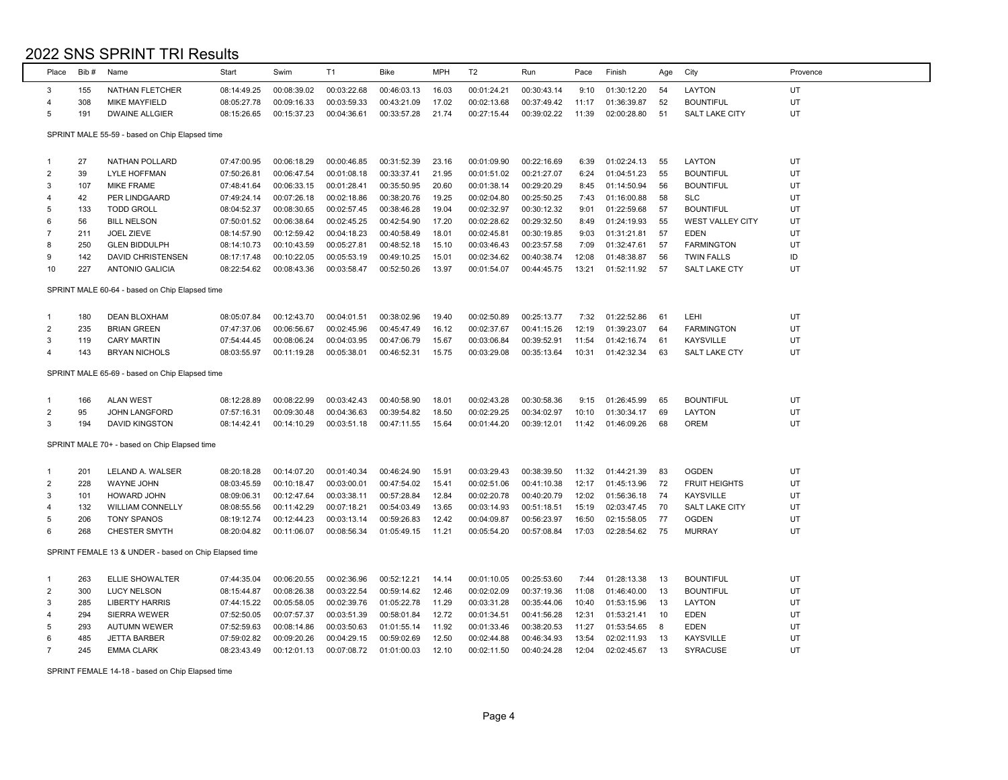| Place          | Bib# | Name                                                  | Start       | Swim        | T1          | Bike        | <b>MPH</b> | T <sub>2</sub> | Run         | Pace  | Finish      | Age  | City                    | Provence |
|----------------|------|-------------------------------------------------------|-------------|-------------|-------------|-------------|------------|----------------|-------------|-------|-------------|------|-------------------------|----------|
| 3              | 155  | NATHAN FLETCHER                                       | 08:14:49.25 | 00:08:39.02 | 00:03:22.68 | 00:46:03.13 | 16.03      | 00:01:24.21    | 00:30:43.14 | 9:10  | 01:30:12.20 | 54   | LAYTON                  | UT       |
| $\overline{4}$ | 308  | <b>MIKE MAYFIELD</b>                                  | 08:05:27.78 | 00:09:16.33 | 00:03:59.33 | 00:43:21.09 | 17.02      | 00:02:13.68    | 00:37:49.42 | 11:17 | 01:36:39.87 | 52   | <b>BOUNTIFUL</b>        | UT       |
| 5              | 191  | <b>DWAINE ALLGIER</b>                                 | 08:15:26.65 | 00:15:37.23 | 00:04:36.61 | 00:33:57.28 | 21.74      | 00:27:15.44    | 00:39:02.22 | 11:39 | 02:00:28.80 | 51   | <b>SALT LAKE CITY</b>   | UT       |
|                |      |                                                       |             |             |             |             |            |                |             |       |             |      |                         |          |
|                |      | SPRINT MALE 55-59 - based on Chip Elapsed time        |             |             |             |             |            |                |             |       |             |      |                         |          |
|                |      |                                                       |             |             |             |             |            |                |             |       |             |      |                         |          |
| -1             | 27   | NATHAN POLLARD                                        | 07:47:00.95 | 00:06:18.29 | 00:00:46.85 | 00:31:52.39 | 23.16      | 00:01:09.90    | 00:22:16.69 | 6:39  | 01:02:24.13 | 55   | LAYTON                  | UT       |
| $\overline{2}$ | 39   | <b>LYLE HOFFMAN</b>                                   | 07:50:26.81 | 00:06:47.54 | 00:01:08.18 | 00:33:37.41 | 21.95      | 00:01:51.02    | 00:21:27.07 | 6:24  | 01:04:51.23 | 55   | <b>BOUNTIFUL</b>        | UT       |
| 3              | 107  | <b>MIKE FRAME</b>                                     | 07:48:41.64 | 00:06:33.15 | 00:01:28.41 | 00:35:50.95 | 20.60      | 00:01:38.14    | 00:29:20.29 | 8:45  | 01:14:50.94 | 56   | <b>BOUNTIFUL</b>        | UT       |
| $\overline{4}$ | 42   | PER LINDGAARD                                         | 07:49:24.14 | 00:07:26.18 | 00:02:18.86 | 00:38:20.76 | 19.25      | 00:02:04.80    | 00:25:50.25 | 7:43  | 01:16:00.88 | 58   | <b>SLC</b>              | UT       |
| 5              | 133  | <b>TODD GROLL</b>                                     | 08:04:52.37 | 00:08:30.65 | 00:02:57.45 | 00:38:46.28 | 19.04      | 00:02:32.97    | 00:30:12.32 | 9:01  | 01:22:59.68 | 57   | <b>BOUNTIFUL</b>        | UT       |
| 6              | 56   | <b>BILL NELSON</b>                                    | 07:50:01.52 | 00:06:38.64 | 00:02:45.25 | 00:42:54.90 | 17.20      | 00:02:28.62    | 00:29:32.50 | 8:49  | 01:24:19.93 | 55   | <b>WEST VALLEY CITY</b> | UT       |
| $\overline{7}$ | 211  | <b>JOEL ZIEVE</b>                                     | 08:14:57.90 | 00:12:59.42 | 00:04:18.23 | 00:40:58.49 | 18.01      | 00:02:45.81    | 00:30:19.85 | 9:03  | 01:31:21.81 | 57   | <b>EDEN</b>             | UT       |
| 8              | 250  | <b>GLEN BIDDULPH</b>                                  | 08:14:10.73 | 00:10:43.59 | 00:05:27.81 | 00:48:52.18 | 15.10      | 00:03:46.43    | 00:23:57.58 | 7:09  | 01:32:47.61 | 57   | <b>FARMINGTON</b>       | UT       |
| 9              | 142  | DAVID CHRISTENSEN                                     | 08:17:17.48 | 00:10:22.05 | 00:05:53.19 | 00:49:10.25 | 15.01      | 00:02:34.62    | 00:40:38.74 | 12:08 | 01:48:38.87 | 56   | <b>TWIN FALLS</b>       | ID       |
| 10             | 227  | <b>ANTONIO GALICIA</b>                                | 08:22:54.62 | 00:08:43.36 | 00:03:58.47 | 00:52:50.26 | 13.97      | 00:01:54.07    | 00:44:45.75 | 13:21 | 01:52:11.92 | 57   | <b>SALT LAKE CTY</b>    | UT       |
|                |      | SPRINT MALE 60-64 - based on Chip Elapsed time        |             |             |             |             |            |                |             |       |             |      |                         |          |
| -1             | 180  | <b>DEAN BLOXHAM</b>                                   | 08:05:07.84 | 00:12:43.70 | 00:04:01.51 | 00:38:02.96 | 19.40      | 00:02:50.89    | 00:25:13.77 | 7:32  | 01:22:52.86 | 61   | LEHI                    | UT       |
| $\overline{2}$ | 235  | <b>BRIAN GREEN</b>                                    | 07:47:37.06 | 00:06:56.67 | 00:02:45.96 | 00:45:47.49 | 16.12      | 00:02:37.67    | 00:41:15.26 | 12:19 | 01:39:23.07 | 64   | <b>FARMINGTON</b>       | UT       |
| 3              | 119  | <b>CARY MARTIN</b>                                    | 07:54:44.45 | 00:08:06.24 | 00:04:03.95 | 00:47:06.79 | 15.67      | 00:03:06.84    | 00:39:52.91 | 11:54 | 01:42:16.74 | 61   | <b>KAYSVILLE</b>        | UT       |
| $\overline{4}$ | 143  | <b>BRYAN NICHOLS</b>                                  | 08:03:55.97 | 00:11:19.28 | 00:05:38.01 | 00:46:52.31 | 15.75      | 00:03:29.08    | 00:35:13.64 | 10:31 | 01:42:32.34 | 63   | SALT LAKE CTY           | UT       |
|                |      |                                                       |             |             |             |             |            |                |             |       |             |      |                         |          |
|                |      | SPRINT MALE 65-69 - based on Chip Elapsed time        |             |             |             |             |            |                |             |       |             |      |                         |          |
| -1             | 166  | <b>ALAN WEST</b>                                      | 08:12:28.89 | 00:08:22.99 | 00:03:42.43 | 00:40:58.90 | 18.01      | 00:02:43.28    | 00:30:58.36 | 9:15  | 01:26:45.99 | 65   | <b>BOUNTIFUL</b>        | UT       |
| $\overline{2}$ | 95   | <b>JOHN LANGFORD</b>                                  | 07:57:16.31 | 00:09:30.48 | 00:04:36.63 | 00:39:54.82 | 18.50      | 00:02:29.25    | 00:34:02.97 | 10:10 | 01:30:34.17 | 69   | LAYTON                  | UT       |
| 3              | 194  | DAVID KINGSTON                                        | 08:14:42.41 | 00:14:10.29 | 00:03:51.18 | 00:47:11.55 | 15.64      | 00:01:44.20    | 00:39:12.01 | 11:42 | 01:46:09.26 | 68   | OREM                    | UT       |
|                |      | SPRINT MALE 70+ - based on Chip Elapsed time          |             |             |             |             |            |                |             |       |             |      |                         |          |
|                |      |                                                       |             |             |             |             |            |                |             |       |             |      |                         |          |
| $\overline{1}$ | 201  | LELAND A. WALSER                                      | 08:20:18.28 | 00:14:07.20 | 00:01:40.34 | 00:46:24.90 | 15.91      | 00:03:29.43    | 00:38:39.50 | 11:32 | 01:44:21.39 | 83   | <b>OGDEN</b>            | UT       |
| $\overline{2}$ | 228  | <b>WAYNE JOHN</b>                                     | 08:03:45.59 | 00:10:18.47 | 00:03:00.01 | 00:47:54.02 | 15.41      | 00:02:51.06    | 00:41:10.38 | 12:17 | 01:45:13.96 | - 72 | <b>FRUIT HEIGHTS</b>    | UT       |
| 3              | 101  | <b>HOWARD JOHN</b>                                    | 08:09:06.31 | 00:12:47.64 | 00:03:38.11 | 00:57:28.84 | 12.84      | 00:02:20.78    | 00:40:20.79 | 12:02 | 01:56:36.18 | -74  | <b>KAYSVILLE</b>        | UT       |
| $\overline{4}$ | 132  | <b>WILLIAM CONNELLY</b>                               | 08:08:55.56 | 00:11:42.29 | 00:07:18.21 | 00:54:03.49 | 13.65      | 00:03:14.93    | 00:51:18.51 | 15:19 | 02:03:47.45 | 70   | <b>SALT LAKE CITY</b>   | UT       |
| 5              | 206  | <b>TONY SPANOS</b>                                    | 08:19:12.74 | 00:12:44.23 | 00:03:13.14 | 00:59:26.83 | 12.42      | 00:04:09.87    | 00:56:23.97 | 16:50 | 02:15:58.05 | 77   | <b>OGDEN</b>            | UT       |
| 6              | 268  | <b>CHESTER SMYTH</b>                                  | 08:20:04.82 | 00:11:06.07 | 00:08:56.34 | 01:05:49.15 | 11.21      | 00:05:54.20    | 00:57:08.84 | 17:03 | 02:28:54.62 | 75   | <b>MURRAY</b>           | UT       |
|                |      | SPRINT FEMALE 13 & UNDER - based on Chip Elapsed time |             |             |             |             |            |                |             |       |             |      |                         |          |
| -1             | 263  | ELLIE SHOWALTER                                       | 07:44:35.04 | 00:06:20.55 | 00:02:36.96 | 00:52:12.21 | 14.14      | 00:01:10.05    | 00:25:53.60 | 7:44  | 01:28:13.38 | 13   | <b>BOUNTIFUL</b>        | UT       |
| $\overline{2}$ | 300  | <b>LUCY NELSON</b>                                    | 08:15:44.87 | 00:08:26.38 | 00:03:22.54 | 00:59:14.62 | 12.46      | 00:02:02.09    | 00:37:19.36 | 11:08 | 01:46:40.00 | 13   | <b>BOUNTIFUL</b>        | UT       |
| 3              | 285  | <b>LIBERTY HARRIS</b>                                 | 07:44:15.22 | 00:05:58.05 | 00:02:39.76 | 01:05:22.78 | 11.29      | 00:03:31.28    | 00:35:44.06 | 10:40 | 01:53:15.96 | - 13 | LAYTON                  | UT       |
| $\overline{4}$ | 294  | <b>SIERRA WEWER</b>                                   | 07:52:50.05 | 00:07:57.37 | 00:03:51.39 | 00:58:01.84 | 12.72      | 00:01:34.51    | 00:41:56.28 | 12:31 | 01:53:21.41 | 10   | <b>EDEN</b>             | UT       |
| 5              | 293  | <b>AUTUMN WEWER</b>                                   | 07:52:59.63 | 00:08:14.86 | 00:03:50.63 | 01:01:55.14 | 11.92      | 00:01:33.46    | 00:38:20.53 | 11:27 | 01:53:54.65 | - 8  | <b>EDEN</b>             | UT       |
| 6              | 485  | <b>JETTA BARBER</b>                                   | 07:59:02.82 | 00:09:20.26 | 00:04:29.15 | 00:59:02.69 | 12.50      | 00:02:44.88    | 00:46:34.93 | 13:54 | 02:02:11.93 | - 13 | <b>KAYSVILLE</b>        | UT       |
| $\overline{7}$ | 245  | <b>EMMA CLARK</b>                                     | 08:23:43.49 | 00:12:01.13 | 00:07:08.72 | 01:01:00.03 | 12.10      | 00:02:11.50    | 00:40:24.28 | 12:04 | 02:02:45.67 | 13   | <b>SYRACUSE</b>         | UT       |
|                |      |                                                       |             |             |             |             |            |                |             |       |             |      |                         |          |

SPRINT FEMALE 14-18 - based on Chip Elapsed time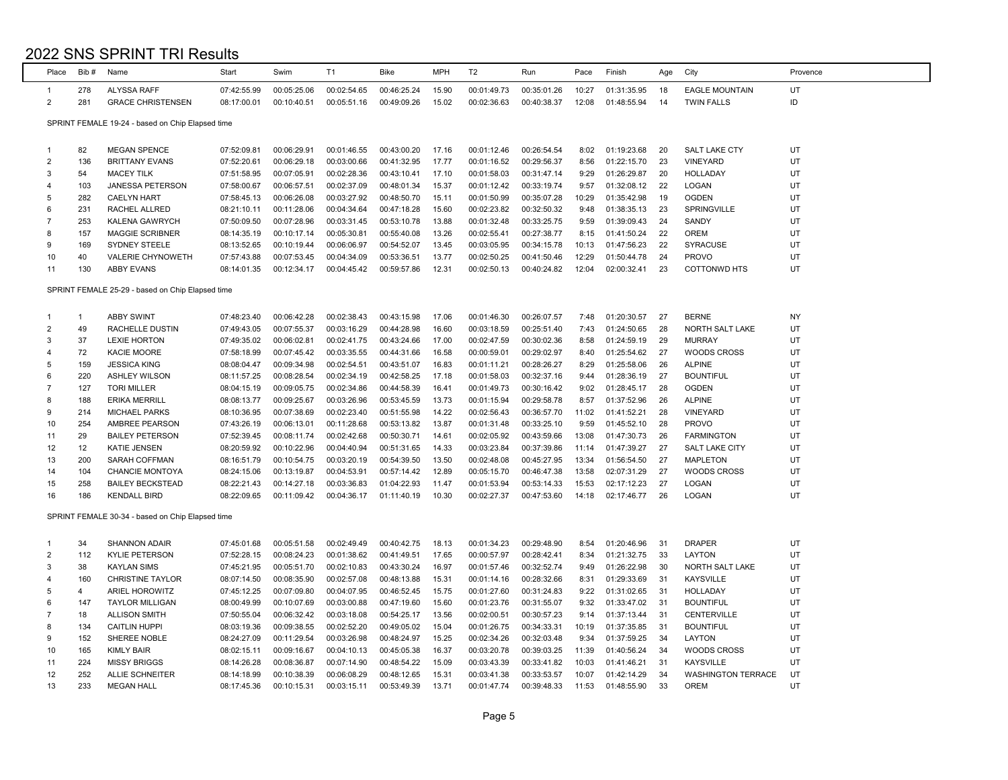| 00:46:25.24<br>00:01:49.73<br>00:35:01.26<br>UT<br>278<br><b>ALYSSA RAFF</b><br>07:42:55.99<br>00:05:25.06<br>00:02:54.65<br>15.90<br>10:27<br>01:31:35.95<br>18<br><b>EAGLE MOUNTAIN</b><br>1<br>$\overline{2}$<br>ID<br>281<br><b>GRACE CHRISTENSEN</b><br>08:17:00.01<br>00:10:40.51<br>00:05:51.16<br>00:49:09.26<br>15.02<br>00:02:36.63<br>00:40:38.37<br>12:08<br>01:48:55.94<br><b>TWIN FALLS</b><br>14<br>SPRINT FEMALE 19-24 - based on Chip Elapsed time<br>82<br><b>MEGAN SPENCE</b><br>07:52:09.81<br>00:06:29.91<br>00:01:46.55<br>00:43:00.20<br>17.16<br>00:01:12.46<br>00:26:54.54<br>8:02<br>01:19:23.68<br>20<br>SALT LAKE CTY<br>UT<br>-1<br>UT<br>$\overline{2}$<br>136<br><b>BRITTANY EVANS</b><br>07:52:20.61<br>00:06:29.18<br>00:03:00.66<br>00:41:32.95<br>17.77<br>00:01:16.52<br>00:29:56.37<br>8:56<br>01:22:15.70<br>23<br><b>VINEYARD</b><br>UT<br>3<br>54<br>07:51:58.95<br>00:07:05.91<br>00:02:28.36<br>00:43:10.41<br>17.10<br>00:01:58.03<br>00:31:47.14<br>9:29<br>01:26:29.87<br>20<br><b>MACEY TILK</b><br><b>HOLLADAY</b><br>103<br>00:06:57.51<br>00:02:37.09<br>00:48:01.34<br>00:33:19.74<br>01:32:08.12<br>22<br>LOGAN<br>UT<br>JANESSA PETERSON<br>07:58:00.67<br>15.37<br>00:01:12.42<br>9:57<br>4<br>282<br><b>CAELYN HART</b><br>07:58:45.13<br>00:06:26.08<br>00:03:27.92<br>00:48:50.70<br>00:01:50.99<br>00:35:07.28<br>01:35:42.98<br>19<br><b>OGDEN</b><br>UT<br>5<br>15.11<br>10:29<br>231<br>00:32:50.32<br>SPRINGVILLE<br>UT<br>6<br>RACHEL ALLRED<br>08:21:10.11<br>00:11:28.06<br>00:04:34.64<br>00:47:18.28<br>15.60<br>00:02:23.82<br>9:48<br>01:38:35.13<br>23<br>00:33:25.75<br>UT<br>253<br>07:50:09.50<br>00:07:28.96<br>00:03:31.45<br>00:53:10.78<br>13.88<br>00:01:32.48<br>9:59<br>01:39:09.43<br>24<br>SANDY<br>$\overline{7}$<br><b>KALENA GAWRYCH</b><br>00:05:30.81<br>00:55:40.08<br>00:27:38.77<br>01:41:50.24<br><b>OREM</b><br>UT<br>8<br>157<br><b>MAGGIE SCRIBNER</b><br>08:14:35.19<br>00:10:17.14<br>13.26<br>00:02:55.41<br>8:15<br>22<br>UT<br>9<br>169<br><b>SYDNEY STEELE</b><br>08:13:52.65<br>00:10:19.44<br>00:06:06.97<br>00:54:52.07<br>13.45<br>00:03:05.95<br>00:34:15.78<br>10:13<br>01:47:56.23<br>22<br><b>SYRACUSE</b><br>40<br>VALERIE CHYNOWETH<br>00:07:53.45<br>00:04:34.09<br>00:53:36.51<br>13.77<br>00:02:50.25<br>00:41:50.46<br>01:50:44.78<br>24<br><b>PROVO</b><br>UT<br>10<br>07:57:43.88<br>12:29<br>130<br>08:14:01.35<br>00:12:34.17<br>00:04:45.42<br>00:59:57.86<br>12.31<br>00:02:50.13<br>00:40:24.82<br>02:00:32.41<br>23<br><b>COTTONWD HTS</b><br>UT<br>11<br><b>ABBY EVANS</b><br>12:04<br>SPRINT FEMALE 25-29 - based on Chip Elapsed time<br>07:48:23.40<br>00:26:07.57<br>01:20:30.57<br><b>BERNE</b><br>$\mathbf{1}$<br><b>ABBY SWINT</b><br>00:06:42.28<br>00:02:38.43<br>00:43:15.98<br>17.06<br>00:01:46.30<br>7:48<br>27<br>NY<br>$\mathbf 1$<br>UT<br>$\overline{2}$<br>49<br>07:49:43.05<br>00:07:55.37<br>00:03:16.29<br>00:44:28.98<br>00:25:51.40<br>7:43<br>01:24:50.65<br>28<br>NORTH SALT LAKE<br>RACHELLE DUSTIN<br>16.60<br>00:03:18.59<br>UT<br>3<br>37<br><b>LEXIE HORTON</b><br>07:49:35.02<br>00:06:02.81<br>00:02:41.75<br>00:43:24.66<br>17.00<br>00:02:47.59<br>00:30:02.36<br>8:58<br>01:24:59.19<br>29<br><b>MURRAY</b><br>72<br>UT<br>KACIE MOORE<br>07:58:18.99<br>00:07:45.42<br>00:03:35.55<br>00:44:31.66<br>16.58<br>00:00:59.01<br>00:29:02.97<br>8:40<br>01:25:54.62<br>27<br><b>WOODS CROSS</b><br>4<br>UT<br>159<br>00:02:54.51<br>00:43:51.07<br>00:28:26.27<br>01:25:58.06<br>26<br><b>ALPINE</b><br>5<br><b>JESSICA KING</b><br>08:08:04.47<br>00:09:34.98<br>16.83<br>00:01:11.21<br>8:29<br>UT<br>6<br>220<br><b>ASHLEY WILSON</b><br>08:11:57.25<br>00:08:28.54<br>00:02:34.19<br>00:42:58.25<br>17.18<br>00:01:58.03<br>00:32:37.16<br>9:44<br>01:28:36.19<br>27<br><b>BOUNTIFUL</b><br>UT<br>127<br><b>TORI MILLER</b><br>08:04:15.19<br>00:09:05.75<br>00:02:34.86<br>00:44:58.39<br>16.41<br>00:01:49.73<br>00:30:16.42<br>01:28:45.17<br>28<br><b>OGDEN</b><br>$\overline{7}$<br>9:02<br>01:37:52.96<br>UT<br>8<br>188<br><b>ERIKA MERRILL</b><br>08:08:13.77<br>00:09:25.67<br>00:03:26.96<br>00:53:45.59<br>13.73<br>00:01:15.94<br>00:29:58.78<br>8:57<br>26<br><b>ALPINE</b><br>9<br>214<br>00:02:23.40<br>00:51:55.98<br>00:36:57.70<br>01:41:52.21<br>UT<br>MICHAEL PARKS<br>08:10:36.95<br>00:07:38.69<br>14.22<br>00:02:56.43<br>11:02<br>28<br>VINEYARD<br>254<br>AMBREE PEARSON<br>07:43:26.19<br>00:06:13.01<br>00:11:28.68<br>00:53:13.82<br>13.87<br>00:33:25.10<br>9:59<br>01:45:52.10<br>28<br><b>PROVO</b><br>UT<br>10<br>00:01:31.48<br>UT<br>29<br>07:52:39.45<br>00:08:11.74<br>00:02:42.68<br>00:50:30.71<br>00:43:59.66<br>01:47:30.73<br>26<br>11<br><b>BAILEY PETERSON</b><br>14.61<br>00:02:05.92<br>13:08<br><b>FARMINGTON</b><br>12<br>00:10:22.96<br>00:04:40.94<br>00:51:31.65<br>00:37:39.86<br>01:47:39.27<br>27<br>UT<br><b>KATIE JENSEN</b><br>08:20:59.92<br>14.33<br>00:03:23.84<br><b>SALT LAKE CITY</b><br>12<br>11:14<br>00:03:20.19<br>00:54:39.50<br>00:45:27.95<br>01:56:54.50<br>UT<br>13<br>200<br><b>SARAH COFFMAN</b><br>08:16:51.79<br>00:10:54.75<br>13.50<br>00:02:48.08<br>13:34<br>27<br><b>MAPLETON</b><br>UT<br>104<br><b>CHANCIE MONTOYA</b><br>08:24:15.06<br>00:13:19.87<br>00:04:53.91<br>00:57:14.42<br>12.89<br>00:05:15.70<br>00:46:47.38<br>13:58<br>02:07:31.29<br>27<br><b>WOODS CROSS</b><br>14<br>UT<br>258<br><b>BAILEY BECKSTEAD</b><br>08:22:21.43<br>00:14:27.18<br>00:03:36.83<br>01:04:22.93<br>11.47<br>00:01:53.94<br>00:53:14.33<br>02:17:12.23<br>27<br>LOGAN<br>15:53<br>15<br>UT<br>186<br><b>KENDALL BIRD</b><br>08:22:09.65<br>00:11:09.42<br>00:04:36.17<br>01:11:40.19<br>10.30<br>00:02:27.37<br>00:47:53.60<br>14:18<br>02:17:46.77<br>26<br>LOGAN<br>16<br>SPRINT FEMALE 30-34 - based on Chip Elapsed time<br>UT<br>34<br><b>SHANNON ADAIR</b><br>07:45:01.68<br>00:05:51.58<br>00:02:49.49<br>00:40:42.75<br>18.13<br>00:01:34.23<br>00:29:48.90<br>8:54<br>01:20:46.96<br><b>DRAPER</b><br>31<br>$\mathbf{1}$<br>$\overline{2}$<br>UT<br>112<br><b>KYLIE PETERSON</b><br>07:52:28.15<br>00:08:24.23<br>00:01:38.62<br>00:41:49.51<br>17.65<br>00:00:57.97<br>00:28:42.41<br>8:34<br>01:21:32.75<br>33<br>LAYTON<br>00:43:30.24<br>00:32:52.74<br>01:26:22.98<br>UT<br>3<br>38<br><b>KAYLAN SIMS</b><br>07:45:21.95<br>00:05:51.70<br>00:02:10.83<br>16.97<br>00:01:57.46<br>9:49<br>30<br>NORTH SALT LAKE<br>UT<br>160<br><b>CHRISTINE TAYLOR</b><br>08:07:14.50<br>00:08:35.90<br>00:02:57.08<br>00:48:13.88<br>15.31<br>00:01:14.16<br>00:28:32.66<br>8:31<br>01:29:33.69<br>31<br><b>KAYSVILLE</b><br>4<br>UT<br>4<br>00:07:09.80<br>00:46:52.45<br>00:31:24.83<br>01:31:02.65<br>5<br><b>ARIEL HOROWITZ</b><br>07:45:12.25<br>00:04:07.95<br>15.75<br>00:01:27.60<br>9:22<br>-31<br><b>HOLLADAY</b><br>UT<br>6<br>147<br><b>TAYLOR MILLIGAN</b><br>08:00:49.99<br>00:10:07.69<br>00:03:00.88<br>00:47:19.60<br>15.60<br>00:01:23.76<br>00:31:55.07<br>9:32<br>01:33:47.02<br><b>BOUNTIFUL</b><br>31<br>UT<br>18<br><b>ALLISON SMITH</b><br>07:50:55.04<br>00:06:32.42<br>00:03:18.08<br>00:54:25.17<br>13.56<br>00:02:00.51<br>00:30:57.23<br>01:37:13.44<br>31<br><b>CENTERVILLE</b><br>$\overline{7}$<br>9:14<br>00:02:52.20<br>00:49:05.02<br>00:34:33.31<br><b>BOUNTIFUL</b><br>UT<br>8<br>134<br><b>CAITLIN HUPPI</b><br>08:03:19.36<br>00:09:38.55<br>15.04<br>00:01:26.75<br>10:19<br>01:37:35.85<br>31<br>9<br>152<br>08:24:27.09<br>00:11:29.54<br>00:03:26.98<br>00:48:24.97<br>00:02:34.26<br>00:32:03.48<br>9:34<br>01:37:59.25<br>UT<br>SHEREE NOBLE<br>15.25<br>34<br>LAYTON<br>08:02:15.11<br>00:09:16.67<br>00:04:10.13<br>00:45:05.38<br>00:03:20.78<br>00:39:03.25<br>01:40:56.24<br>34<br><b>WOODS CROSS</b><br>UT<br>10<br>165<br><b>KIMLY BAIR</b><br>16.37<br>11:39<br>UT<br>224<br>00:48:54.22<br>00:33:41.82<br>11<br><b>MISSY BRIGGS</b><br>08:14:26.28<br>00:08:36.87<br>00:07:14.90<br>15.09<br>00:03:43.39<br>10:03<br>01:41:46.21<br>31<br><b>KAYSVILLE</b><br>252<br>00:33:53.57<br>UT<br><b>ALLIE SCHNEITER</b><br>08:14:18.99<br>00:10:38.39<br>00:06:08.29<br>00:48:12.65<br>15.31<br>00:03:41.38<br>10:07<br>01:42:14.29<br>34<br><b>WASHINGTON TERRACE</b><br>12<br>UT<br>233<br>08:17:45.36<br>00:10:15.31<br>00:03:15.11<br>00:53:49.39<br>13.71<br>00:01:47.74<br>00:39:48.33<br>01:48:55.90<br>33<br><b>OREM</b><br>13<br><b>MEGAN HALL</b><br>11:53 | Place | Bib# | Name | Start | Swim | T1 | <b>Bike</b> | <b>MPH</b> | T <sub>2</sub> | Run | Pace | Finish | Age | City | Provence |
|------------------------------------------------------------------------------------------------------------------------------------------------------------------------------------------------------------------------------------------------------------------------------------------------------------------------------------------------------------------------------------------------------------------------------------------------------------------------------------------------------------------------------------------------------------------------------------------------------------------------------------------------------------------------------------------------------------------------------------------------------------------------------------------------------------------------------------------------------------------------------------------------------------------------------------------------------------------------------------------------------------------------------------------------------------------------------------------------------------------------------------------------------------------------------------------------------------------------------------------------------------------------------------------------------------------------------------------------------------------------------------------------------------------------------------------------------------------------------------------------------------------------------------------------------------------------------------------------------------------------------------------------------------------------------------------------------------------------------------------------------------------------------------------------------------------------------------------------------------------------------------------------------------------------------------------------------------------------------------------------------------------------------------------------------------------------------------------------------------------------------------------------------------------------------------------------------------------------------------------------------------------------------------------------------------------------------------------------------------------------------------------------------------------------------------------------------------------------------------------------------------------------------------------------------------------------------------------------------------------------------------------------------------------------------------------------------------------------------------------------------------------------------------------------------------------------------------------------------------------------------------------------------------------------------------------------------------------------------------------------------------------------------------------------------------------------------------------------------------------------------------------------------------------------------------------------------------------------------------------------------------------------------------------------------------------------------------------------------------------------------------------------------------------------------------------------------------------------------------------------------------------------------------------------------------------------------------------------------------------------------------------------------------------------------------------------------------------------------------------------------------------------------------------------------------------------------------------------------------------------------------------------------------------------------------------------------------------------------------------------------------------------------------------------------------------------------------------------------------------------------------------------------------------------------------------------------------------------------------------------------------------------------------------------------------------------------------------------------------------------------------------------------------------------------------------------------------------------------------------------------------------------------------------------------------------------------------------------------------------------------------------------------------------------------------------------------------------------------------------------------------------------------------------------------------------------------------------------------------------------------------------------------------------------------------------------------------------------------------------------------------------------------------------------------------------------------------------------------------------------------------------------------------------------------------------------------------------------------------------------------------------------------------------------------------------------------------------------------------------------------------------------------------------------------------------------------------------------------------------------------------------------------------------------------------------------------------------------------------------------------------------------------------------------------------------------------------------------------------------------------------------------------------------------------------------------------------------------------------------------------------------------------------------------------------------------------------------------------------------------------------------------------------------------------------------------------------------------------------------------------------------------------------------------------------------------------------------------------------------------------------------------------------------------------------------------------------------------------------------------------------------------------------------------------------------------------------------------------------------------------------------------------------------------------------------------------------------------------------------------------------------------------------------------------------------------------------------------------------------------------------------------------------------------------------------------------------------------------------------------------------------------------------------------------------------------------------------------------------------------------------------------------------------------------------------------------------------------------------------------------------------------------------------------------------------------------------------------------------------------------------------------------------------------------------------------------------------------------------------------------------------------------------------------------------------------------------------------------------------------------------------------------------------------------------------------------------------------------------------------------------------------------------------------------------------------------------------------------------------------------------------------------------------------------------------------------------------------------------------------------------------------------------------------------------------------------------------------------------------------------------------------------------------------------------------------------------------------------------------------------------------------------------------------------------------------------------------------------------------------------------------------------------------------------------------------------------------------------------------------------------------------------------------------------------------------------------|-------|------|------|-------|------|----|-------------|------------|----------------|-----|------|--------|-----|------|----------|
|                                                                                                                                                                                                                                                                                                                                                                                                                                                                                                                                                                                                                                                                                                                                                                                                                                                                                                                                                                                                                                                                                                                                                                                                                                                                                                                                                                                                                                                                                                                                                                                                                                                                                                                                                                                                                                                                                                                                                                                                                                                                                                                                                                                                                                                                                                                                                                                                                                                                                                                                                                                                                                                                                                                                                                                                                                                                                                                                                                                                                                                                                                                                                                                                                                                                                                                                                                                                                                                                                                                                                                                                                                                                                                                                                                                                                                                                                                                                                                                                                                                                                                                                                                                                                                                                                                                                                                                                                                                                                                                                                                                                                                                                                                                                                                                                                                                                                                                                                                                                                                                                                                                                                                                                                                                                                                                                                                                                                                                                                                                                                                                                                                                                                                                                                                                                                                                                                                                                                                                                                                                                                                                                                                                                                                                                                                                                                                                                                                                                                                                                                                                                                                                                                                                                                                                                                                                                                                                                                                                                                                                                                                                                                                                                                                                                                                                                                                                                                                                                                                                                                                                                                                                                                                                                                                                                                                                                                                                                                                                                                                                                                                                                                                                                                                                                                                                                                                                                                                                            |       |      |      |       |      |    |             |            |                |     |      |        |     |      |          |
|                                                                                                                                                                                                                                                                                                                                                                                                                                                                                                                                                                                                                                                                                                                                                                                                                                                                                                                                                                                                                                                                                                                                                                                                                                                                                                                                                                                                                                                                                                                                                                                                                                                                                                                                                                                                                                                                                                                                                                                                                                                                                                                                                                                                                                                                                                                                                                                                                                                                                                                                                                                                                                                                                                                                                                                                                                                                                                                                                                                                                                                                                                                                                                                                                                                                                                                                                                                                                                                                                                                                                                                                                                                                                                                                                                                                                                                                                                                                                                                                                                                                                                                                                                                                                                                                                                                                                                                                                                                                                                                                                                                                                                                                                                                                                                                                                                                                                                                                                                                                                                                                                                                                                                                                                                                                                                                                                                                                                                                                                                                                                                                                                                                                                                                                                                                                                                                                                                                                                                                                                                                                                                                                                                                                                                                                                                                                                                                                                                                                                                                                                                                                                                                                                                                                                                                                                                                                                                                                                                                                                                                                                                                                                                                                                                                                                                                                                                                                                                                                                                                                                                                                                                                                                                                                                                                                                                                                                                                                                                                                                                                                                                                                                                                                                                                                                                                                                                                                                                                            |       |      |      |       |      |    |             |            |                |     |      |        |     |      |          |
|                                                                                                                                                                                                                                                                                                                                                                                                                                                                                                                                                                                                                                                                                                                                                                                                                                                                                                                                                                                                                                                                                                                                                                                                                                                                                                                                                                                                                                                                                                                                                                                                                                                                                                                                                                                                                                                                                                                                                                                                                                                                                                                                                                                                                                                                                                                                                                                                                                                                                                                                                                                                                                                                                                                                                                                                                                                                                                                                                                                                                                                                                                                                                                                                                                                                                                                                                                                                                                                                                                                                                                                                                                                                                                                                                                                                                                                                                                                                                                                                                                                                                                                                                                                                                                                                                                                                                                                                                                                                                                                                                                                                                                                                                                                                                                                                                                                                                                                                                                                                                                                                                                                                                                                                                                                                                                                                                                                                                                                                                                                                                                                                                                                                                                                                                                                                                                                                                                                                                                                                                                                                                                                                                                                                                                                                                                                                                                                                                                                                                                                                                                                                                                                                                                                                                                                                                                                                                                                                                                                                                                                                                                                                                                                                                                                                                                                                                                                                                                                                                                                                                                                                                                                                                                                                                                                                                                                                                                                                                                                                                                                                                                                                                                                                                                                                                                                                                                                                                                                            |       |      |      |       |      |    |             |            |                |     |      |        |     |      |          |
|                                                                                                                                                                                                                                                                                                                                                                                                                                                                                                                                                                                                                                                                                                                                                                                                                                                                                                                                                                                                                                                                                                                                                                                                                                                                                                                                                                                                                                                                                                                                                                                                                                                                                                                                                                                                                                                                                                                                                                                                                                                                                                                                                                                                                                                                                                                                                                                                                                                                                                                                                                                                                                                                                                                                                                                                                                                                                                                                                                                                                                                                                                                                                                                                                                                                                                                                                                                                                                                                                                                                                                                                                                                                                                                                                                                                                                                                                                                                                                                                                                                                                                                                                                                                                                                                                                                                                                                                                                                                                                                                                                                                                                                                                                                                                                                                                                                                                                                                                                                                                                                                                                                                                                                                                                                                                                                                                                                                                                                                                                                                                                                                                                                                                                                                                                                                                                                                                                                                                                                                                                                                                                                                                                                                                                                                                                                                                                                                                                                                                                                                                                                                                                                                                                                                                                                                                                                                                                                                                                                                                                                                                                                                                                                                                                                                                                                                                                                                                                                                                                                                                                                                                                                                                                                                                                                                                                                                                                                                                                                                                                                                                                                                                                                                                                                                                                                                                                                                                                                            |       |      |      |       |      |    |             |            |                |     |      |        |     |      |          |
|                                                                                                                                                                                                                                                                                                                                                                                                                                                                                                                                                                                                                                                                                                                                                                                                                                                                                                                                                                                                                                                                                                                                                                                                                                                                                                                                                                                                                                                                                                                                                                                                                                                                                                                                                                                                                                                                                                                                                                                                                                                                                                                                                                                                                                                                                                                                                                                                                                                                                                                                                                                                                                                                                                                                                                                                                                                                                                                                                                                                                                                                                                                                                                                                                                                                                                                                                                                                                                                                                                                                                                                                                                                                                                                                                                                                                                                                                                                                                                                                                                                                                                                                                                                                                                                                                                                                                                                                                                                                                                                                                                                                                                                                                                                                                                                                                                                                                                                                                                                                                                                                                                                                                                                                                                                                                                                                                                                                                                                                                                                                                                                                                                                                                                                                                                                                                                                                                                                                                                                                                                                                                                                                                                                                                                                                                                                                                                                                                                                                                                                                                                                                                                                                                                                                                                                                                                                                                                                                                                                                                                                                                                                                                                                                                                                                                                                                                                                                                                                                                                                                                                                                                                                                                                                                                                                                                                                                                                                                                                                                                                                                                                                                                                                                                                                                                                                                                                                                                                                            |       |      |      |       |      |    |             |            |                |     |      |        |     |      |          |
|                                                                                                                                                                                                                                                                                                                                                                                                                                                                                                                                                                                                                                                                                                                                                                                                                                                                                                                                                                                                                                                                                                                                                                                                                                                                                                                                                                                                                                                                                                                                                                                                                                                                                                                                                                                                                                                                                                                                                                                                                                                                                                                                                                                                                                                                                                                                                                                                                                                                                                                                                                                                                                                                                                                                                                                                                                                                                                                                                                                                                                                                                                                                                                                                                                                                                                                                                                                                                                                                                                                                                                                                                                                                                                                                                                                                                                                                                                                                                                                                                                                                                                                                                                                                                                                                                                                                                                                                                                                                                                                                                                                                                                                                                                                                                                                                                                                                                                                                                                                                                                                                                                                                                                                                                                                                                                                                                                                                                                                                                                                                                                                                                                                                                                                                                                                                                                                                                                                                                                                                                                                                                                                                                                                                                                                                                                                                                                                                                                                                                                                                                                                                                                                                                                                                                                                                                                                                                                                                                                                                                                                                                                                                                                                                                                                                                                                                                                                                                                                                                                                                                                                                                                                                                                                                                                                                                                                                                                                                                                                                                                                                                                                                                                                                                                                                                                                                                                                                                                                            |       |      |      |       |      |    |             |            |                |     |      |        |     |      |          |
|                                                                                                                                                                                                                                                                                                                                                                                                                                                                                                                                                                                                                                                                                                                                                                                                                                                                                                                                                                                                                                                                                                                                                                                                                                                                                                                                                                                                                                                                                                                                                                                                                                                                                                                                                                                                                                                                                                                                                                                                                                                                                                                                                                                                                                                                                                                                                                                                                                                                                                                                                                                                                                                                                                                                                                                                                                                                                                                                                                                                                                                                                                                                                                                                                                                                                                                                                                                                                                                                                                                                                                                                                                                                                                                                                                                                                                                                                                                                                                                                                                                                                                                                                                                                                                                                                                                                                                                                                                                                                                                                                                                                                                                                                                                                                                                                                                                                                                                                                                                                                                                                                                                                                                                                                                                                                                                                                                                                                                                                                                                                                                                                                                                                                                                                                                                                                                                                                                                                                                                                                                                                                                                                                                                                                                                                                                                                                                                                                                                                                                                                                                                                                                                                                                                                                                                                                                                                                                                                                                                                                                                                                                                                                                                                                                                                                                                                                                                                                                                                                                                                                                                                                                                                                                                                                                                                                                                                                                                                                                                                                                                                                                                                                                                                                                                                                                                                                                                                                                                            |       |      |      |       |      |    |             |            |                |     |      |        |     |      |          |
|                                                                                                                                                                                                                                                                                                                                                                                                                                                                                                                                                                                                                                                                                                                                                                                                                                                                                                                                                                                                                                                                                                                                                                                                                                                                                                                                                                                                                                                                                                                                                                                                                                                                                                                                                                                                                                                                                                                                                                                                                                                                                                                                                                                                                                                                                                                                                                                                                                                                                                                                                                                                                                                                                                                                                                                                                                                                                                                                                                                                                                                                                                                                                                                                                                                                                                                                                                                                                                                                                                                                                                                                                                                                                                                                                                                                                                                                                                                                                                                                                                                                                                                                                                                                                                                                                                                                                                                                                                                                                                                                                                                                                                                                                                                                                                                                                                                                                                                                                                                                                                                                                                                                                                                                                                                                                                                                                                                                                                                                                                                                                                                                                                                                                                                                                                                                                                                                                                                                                                                                                                                                                                                                                                                                                                                                                                                                                                                                                                                                                                                                                                                                                                                                                                                                                                                                                                                                                                                                                                                                                                                                                                                                                                                                                                                                                                                                                                                                                                                                                                                                                                                                                                                                                                                                                                                                                                                                                                                                                                                                                                                                                                                                                                                                                                                                                                                                                                                                                                                            |       |      |      |       |      |    |             |            |                |     |      |        |     |      |          |
|                                                                                                                                                                                                                                                                                                                                                                                                                                                                                                                                                                                                                                                                                                                                                                                                                                                                                                                                                                                                                                                                                                                                                                                                                                                                                                                                                                                                                                                                                                                                                                                                                                                                                                                                                                                                                                                                                                                                                                                                                                                                                                                                                                                                                                                                                                                                                                                                                                                                                                                                                                                                                                                                                                                                                                                                                                                                                                                                                                                                                                                                                                                                                                                                                                                                                                                                                                                                                                                                                                                                                                                                                                                                                                                                                                                                                                                                                                                                                                                                                                                                                                                                                                                                                                                                                                                                                                                                                                                                                                                                                                                                                                                                                                                                                                                                                                                                                                                                                                                                                                                                                                                                                                                                                                                                                                                                                                                                                                                                                                                                                                                                                                                                                                                                                                                                                                                                                                                                                                                                                                                                                                                                                                                                                                                                                                                                                                                                                                                                                                                                                                                                                                                                                                                                                                                                                                                                                                                                                                                                                                                                                                                                                                                                                                                                                                                                                                                                                                                                                                                                                                                                                                                                                                                                                                                                                                                                                                                                                                                                                                                                                                                                                                                                                                                                                                                                                                                                                                                            |       |      |      |       |      |    |             |            |                |     |      |        |     |      |          |
|                                                                                                                                                                                                                                                                                                                                                                                                                                                                                                                                                                                                                                                                                                                                                                                                                                                                                                                                                                                                                                                                                                                                                                                                                                                                                                                                                                                                                                                                                                                                                                                                                                                                                                                                                                                                                                                                                                                                                                                                                                                                                                                                                                                                                                                                                                                                                                                                                                                                                                                                                                                                                                                                                                                                                                                                                                                                                                                                                                                                                                                                                                                                                                                                                                                                                                                                                                                                                                                                                                                                                                                                                                                                                                                                                                                                                                                                                                                                                                                                                                                                                                                                                                                                                                                                                                                                                                                                                                                                                                                                                                                                                                                                                                                                                                                                                                                                                                                                                                                                                                                                                                                                                                                                                                                                                                                                                                                                                                                                                                                                                                                                                                                                                                                                                                                                                                                                                                                                                                                                                                                                                                                                                                                                                                                                                                                                                                                                                                                                                                                                                                                                                                                                                                                                                                                                                                                                                                                                                                                                                                                                                                                                                                                                                                                                                                                                                                                                                                                                                                                                                                                                                                                                                                                                                                                                                                                                                                                                                                                                                                                                                                                                                                                                                                                                                                                                                                                                                                                            |       |      |      |       |      |    |             |            |                |     |      |        |     |      |          |
|                                                                                                                                                                                                                                                                                                                                                                                                                                                                                                                                                                                                                                                                                                                                                                                                                                                                                                                                                                                                                                                                                                                                                                                                                                                                                                                                                                                                                                                                                                                                                                                                                                                                                                                                                                                                                                                                                                                                                                                                                                                                                                                                                                                                                                                                                                                                                                                                                                                                                                                                                                                                                                                                                                                                                                                                                                                                                                                                                                                                                                                                                                                                                                                                                                                                                                                                                                                                                                                                                                                                                                                                                                                                                                                                                                                                                                                                                                                                                                                                                                                                                                                                                                                                                                                                                                                                                                                                                                                                                                                                                                                                                                                                                                                                                                                                                                                                                                                                                                                                                                                                                                                                                                                                                                                                                                                                                                                                                                                                                                                                                                                                                                                                                                                                                                                                                                                                                                                                                                                                                                                                                                                                                                                                                                                                                                                                                                                                                                                                                                                                                                                                                                                                                                                                                                                                                                                                                                                                                                                                                                                                                                                                                                                                                                                                                                                                                                                                                                                                                                                                                                                                                                                                                                                                                                                                                                                                                                                                                                                                                                                                                                                                                                                                                                                                                                                                                                                                                                                            |       |      |      |       |      |    |             |            |                |     |      |        |     |      |          |
|                                                                                                                                                                                                                                                                                                                                                                                                                                                                                                                                                                                                                                                                                                                                                                                                                                                                                                                                                                                                                                                                                                                                                                                                                                                                                                                                                                                                                                                                                                                                                                                                                                                                                                                                                                                                                                                                                                                                                                                                                                                                                                                                                                                                                                                                                                                                                                                                                                                                                                                                                                                                                                                                                                                                                                                                                                                                                                                                                                                                                                                                                                                                                                                                                                                                                                                                                                                                                                                                                                                                                                                                                                                                                                                                                                                                                                                                                                                                                                                                                                                                                                                                                                                                                                                                                                                                                                                                                                                                                                                                                                                                                                                                                                                                                                                                                                                                                                                                                                                                                                                                                                                                                                                                                                                                                                                                                                                                                                                                                                                                                                                                                                                                                                                                                                                                                                                                                                                                                                                                                                                                                                                                                                                                                                                                                                                                                                                                                                                                                                                                                                                                                                                                                                                                                                                                                                                                                                                                                                                                                                                                                                                                                                                                                                                                                                                                                                                                                                                                                                                                                                                                                                                                                                                                                                                                                                                                                                                                                                                                                                                                                                                                                                                                                                                                                                                                                                                                                                                            |       |      |      |       |      |    |             |            |                |     |      |        |     |      |          |
|                                                                                                                                                                                                                                                                                                                                                                                                                                                                                                                                                                                                                                                                                                                                                                                                                                                                                                                                                                                                                                                                                                                                                                                                                                                                                                                                                                                                                                                                                                                                                                                                                                                                                                                                                                                                                                                                                                                                                                                                                                                                                                                                                                                                                                                                                                                                                                                                                                                                                                                                                                                                                                                                                                                                                                                                                                                                                                                                                                                                                                                                                                                                                                                                                                                                                                                                                                                                                                                                                                                                                                                                                                                                                                                                                                                                                                                                                                                                                                                                                                                                                                                                                                                                                                                                                                                                                                                                                                                                                                                                                                                                                                                                                                                                                                                                                                                                                                                                                                                                                                                                                                                                                                                                                                                                                                                                                                                                                                                                                                                                                                                                                                                                                                                                                                                                                                                                                                                                                                                                                                                                                                                                                                                                                                                                                                                                                                                                                                                                                                                                                                                                                                                                                                                                                                                                                                                                                                                                                                                                                                                                                                                                                                                                                                                                                                                                                                                                                                                                                                                                                                                                                                                                                                                                                                                                                                                                                                                                                                                                                                                                                                                                                                                                                                                                                                                                                                                                                                                            |       |      |      |       |      |    |             |            |                |     |      |        |     |      |          |
|                                                                                                                                                                                                                                                                                                                                                                                                                                                                                                                                                                                                                                                                                                                                                                                                                                                                                                                                                                                                                                                                                                                                                                                                                                                                                                                                                                                                                                                                                                                                                                                                                                                                                                                                                                                                                                                                                                                                                                                                                                                                                                                                                                                                                                                                                                                                                                                                                                                                                                                                                                                                                                                                                                                                                                                                                                                                                                                                                                                                                                                                                                                                                                                                                                                                                                                                                                                                                                                                                                                                                                                                                                                                                                                                                                                                                                                                                                                                                                                                                                                                                                                                                                                                                                                                                                                                                                                                                                                                                                                                                                                                                                                                                                                                                                                                                                                                                                                                                                                                                                                                                                                                                                                                                                                                                                                                                                                                                                                                                                                                                                                                                                                                                                                                                                                                                                                                                                                                                                                                                                                                                                                                                                                                                                                                                                                                                                                                                                                                                                                                                                                                                                                                                                                                                                                                                                                                                                                                                                                                                                                                                                                                                                                                                                                                                                                                                                                                                                                                                                                                                                                                                                                                                                                                                                                                                                                                                                                                                                                                                                                                                                                                                                                                                                                                                                                                                                                                                                                            |       |      |      |       |      |    |             |            |                |     |      |        |     |      |          |
|                                                                                                                                                                                                                                                                                                                                                                                                                                                                                                                                                                                                                                                                                                                                                                                                                                                                                                                                                                                                                                                                                                                                                                                                                                                                                                                                                                                                                                                                                                                                                                                                                                                                                                                                                                                                                                                                                                                                                                                                                                                                                                                                                                                                                                                                                                                                                                                                                                                                                                                                                                                                                                                                                                                                                                                                                                                                                                                                                                                                                                                                                                                                                                                                                                                                                                                                                                                                                                                                                                                                                                                                                                                                                                                                                                                                                                                                                                                                                                                                                                                                                                                                                                                                                                                                                                                                                                                                                                                                                                                                                                                                                                                                                                                                                                                                                                                                                                                                                                                                                                                                                                                                                                                                                                                                                                                                                                                                                                                                                                                                                                                                                                                                                                                                                                                                                                                                                                                                                                                                                                                                                                                                                                                                                                                                                                                                                                                                                                                                                                                                                                                                                                                                                                                                                                                                                                                                                                                                                                                                                                                                                                                                                                                                                                                                                                                                                                                                                                                                                                                                                                                                                                                                                                                                                                                                                                                                                                                                                                                                                                                                                                                                                                                                                                                                                                                                                                                                                                                            |       |      |      |       |      |    |             |            |                |     |      |        |     |      |          |
|                                                                                                                                                                                                                                                                                                                                                                                                                                                                                                                                                                                                                                                                                                                                                                                                                                                                                                                                                                                                                                                                                                                                                                                                                                                                                                                                                                                                                                                                                                                                                                                                                                                                                                                                                                                                                                                                                                                                                                                                                                                                                                                                                                                                                                                                                                                                                                                                                                                                                                                                                                                                                                                                                                                                                                                                                                                                                                                                                                                                                                                                                                                                                                                                                                                                                                                                                                                                                                                                                                                                                                                                                                                                                                                                                                                                                                                                                                                                                                                                                                                                                                                                                                                                                                                                                                                                                                                                                                                                                                                                                                                                                                                                                                                                                                                                                                                                                                                                                                                                                                                                                                                                                                                                                                                                                                                                                                                                                                                                                                                                                                                                                                                                                                                                                                                                                                                                                                                                                                                                                                                                                                                                                                                                                                                                                                                                                                                                                                                                                                                                                                                                                                                                                                                                                                                                                                                                                                                                                                                                                                                                                                                                                                                                                                                                                                                                                                                                                                                                                                                                                                                                                                                                                                                                                                                                                                                                                                                                                                                                                                                                                                                                                                                                                                                                                                                                                                                                                                                            |       |      |      |       |      |    |             |            |                |     |      |        |     |      |          |
|                                                                                                                                                                                                                                                                                                                                                                                                                                                                                                                                                                                                                                                                                                                                                                                                                                                                                                                                                                                                                                                                                                                                                                                                                                                                                                                                                                                                                                                                                                                                                                                                                                                                                                                                                                                                                                                                                                                                                                                                                                                                                                                                                                                                                                                                                                                                                                                                                                                                                                                                                                                                                                                                                                                                                                                                                                                                                                                                                                                                                                                                                                                                                                                                                                                                                                                                                                                                                                                                                                                                                                                                                                                                                                                                                                                                                                                                                                                                                                                                                                                                                                                                                                                                                                                                                                                                                                                                                                                                                                                                                                                                                                                                                                                                                                                                                                                                                                                                                                                                                                                                                                                                                                                                                                                                                                                                                                                                                                                                                                                                                                                                                                                                                                                                                                                                                                                                                                                                                                                                                                                                                                                                                                                                                                                                                                                                                                                                                                                                                                                                                                                                                                                                                                                                                                                                                                                                                                                                                                                                                                                                                                                                                                                                                                                                                                                                                                                                                                                                                                                                                                                                                                                                                                                                                                                                                                                                                                                                                                                                                                                                                                                                                                                                                                                                                                                                                                                                                                                            |       |      |      |       |      |    |             |            |                |     |      |        |     |      |          |
|                                                                                                                                                                                                                                                                                                                                                                                                                                                                                                                                                                                                                                                                                                                                                                                                                                                                                                                                                                                                                                                                                                                                                                                                                                                                                                                                                                                                                                                                                                                                                                                                                                                                                                                                                                                                                                                                                                                                                                                                                                                                                                                                                                                                                                                                                                                                                                                                                                                                                                                                                                                                                                                                                                                                                                                                                                                                                                                                                                                                                                                                                                                                                                                                                                                                                                                                                                                                                                                                                                                                                                                                                                                                                                                                                                                                                                                                                                                                                                                                                                                                                                                                                                                                                                                                                                                                                                                                                                                                                                                                                                                                                                                                                                                                                                                                                                                                                                                                                                                                                                                                                                                                                                                                                                                                                                                                                                                                                                                                                                                                                                                                                                                                                                                                                                                                                                                                                                                                                                                                                                                                                                                                                                                                                                                                                                                                                                                                                                                                                                                                                                                                                                                                                                                                                                                                                                                                                                                                                                                                                                                                                                                                                                                                                                                                                                                                                                                                                                                                                                                                                                                                                                                                                                                                                                                                                                                                                                                                                                                                                                                                                                                                                                                                                                                                                                                                                                                                                                                            |       |      |      |       |      |    |             |            |                |     |      |        |     |      |          |
|                                                                                                                                                                                                                                                                                                                                                                                                                                                                                                                                                                                                                                                                                                                                                                                                                                                                                                                                                                                                                                                                                                                                                                                                                                                                                                                                                                                                                                                                                                                                                                                                                                                                                                                                                                                                                                                                                                                                                                                                                                                                                                                                                                                                                                                                                                                                                                                                                                                                                                                                                                                                                                                                                                                                                                                                                                                                                                                                                                                                                                                                                                                                                                                                                                                                                                                                                                                                                                                                                                                                                                                                                                                                                                                                                                                                                                                                                                                                                                                                                                                                                                                                                                                                                                                                                                                                                                                                                                                                                                                                                                                                                                                                                                                                                                                                                                                                                                                                                                                                                                                                                                                                                                                                                                                                                                                                                                                                                                                                                                                                                                                                                                                                                                                                                                                                                                                                                                                                                                                                                                                                                                                                                                                                                                                                                                                                                                                                                                                                                                                                                                                                                                                                                                                                                                                                                                                                                                                                                                                                                                                                                                                                                                                                                                                                                                                                                                                                                                                                                                                                                                                                                                                                                                                                                                                                                                                                                                                                                                                                                                                                                                                                                                                                                                                                                                                                                                                                                                                            |       |      |      |       |      |    |             |            |                |     |      |        |     |      |          |
|                                                                                                                                                                                                                                                                                                                                                                                                                                                                                                                                                                                                                                                                                                                                                                                                                                                                                                                                                                                                                                                                                                                                                                                                                                                                                                                                                                                                                                                                                                                                                                                                                                                                                                                                                                                                                                                                                                                                                                                                                                                                                                                                                                                                                                                                                                                                                                                                                                                                                                                                                                                                                                                                                                                                                                                                                                                                                                                                                                                                                                                                                                                                                                                                                                                                                                                                                                                                                                                                                                                                                                                                                                                                                                                                                                                                                                                                                                                                                                                                                                                                                                                                                                                                                                                                                                                                                                                                                                                                                                                                                                                                                                                                                                                                                                                                                                                                                                                                                                                                                                                                                                                                                                                                                                                                                                                                                                                                                                                                                                                                                                                                                                                                                                                                                                                                                                                                                                                                                                                                                                                                                                                                                                                                                                                                                                                                                                                                                                                                                                                                                                                                                                                                                                                                                                                                                                                                                                                                                                                                                                                                                                                                                                                                                                                                                                                                                                                                                                                                                                                                                                                                                                                                                                                                                                                                                                                                                                                                                                                                                                                                                                                                                                                                                                                                                                                                                                                                                                                            |       |      |      |       |      |    |             |            |                |     |      |        |     |      |          |
|                                                                                                                                                                                                                                                                                                                                                                                                                                                                                                                                                                                                                                                                                                                                                                                                                                                                                                                                                                                                                                                                                                                                                                                                                                                                                                                                                                                                                                                                                                                                                                                                                                                                                                                                                                                                                                                                                                                                                                                                                                                                                                                                                                                                                                                                                                                                                                                                                                                                                                                                                                                                                                                                                                                                                                                                                                                                                                                                                                                                                                                                                                                                                                                                                                                                                                                                                                                                                                                                                                                                                                                                                                                                                                                                                                                                                                                                                                                                                                                                                                                                                                                                                                                                                                                                                                                                                                                                                                                                                                                                                                                                                                                                                                                                                                                                                                                                                                                                                                                                                                                                                                                                                                                                                                                                                                                                                                                                                                                                                                                                                                                                                                                                                                                                                                                                                                                                                                                                                                                                                                                                                                                                                                                                                                                                                                                                                                                                                                                                                                                                                                                                                                                                                                                                                                                                                                                                                                                                                                                                                                                                                                                                                                                                                                                                                                                                                                                                                                                                                                                                                                                                                                                                                                                                                                                                                                                                                                                                                                                                                                                                                                                                                                                                                                                                                                                                                                                                                                                            |       |      |      |       |      |    |             |            |                |     |      |        |     |      |          |
|                                                                                                                                                                                                                                                                                                                                                                                                                                                                                                                                                                                                                                                                                                                                                                                                                                                                                                                                                                                                                                                                                                                                                                                                                                                                                                                                                                                                                                                                                                                                                                                                                                                                                                                                                                                                                                                                                                                                                                                                                                                                                                                                                                                                                                                                                                                                                                                                                                                                                                                                                                                                                                                                                                                                                                                                                                                                                                                                                                                                                                                                                                                                                                                                                                                                                                                                                                                                                                                                                                                                                                                                                                                                                                                                                                                                                                                                                                                                                                                                                                                                                                                                                                                                                                                                                                                                                                                                                                                                                                                                                                                                                                                                                                                                                                                                                                                                                                                                                                                                                                                                                                                                                                                                                                                                                                                                                                                                                                                                                                                                                                                                                                                                                                                                                                                                                                                                                                                                                                                                                                                                                                                                                                                                                                                                                                                                                                                                                                                                                                                                                                                                                                                                                                                                                                                                                                                                                                                                                                                                                                                                                                                                                                                                                                                                                                                                                                                                                                                                                                                                                                                                                                                                                                                                                                                                                                                                                                                                                                                                                                                                                                                                                                                                                                                                                                                                                                                                                                                            |       |      |      |       |      |    |             |            |                |     |      |        |     |      |          |
|                                                                                                                                                                                                                                                                                                                                                                                                                                                                                                                                                                                                                                                                                                                                                                                                                                                                                                                                                                                                                                                                                                                                                                                                                                                                                                                                                                                                                                                                                                                                                                                                                                                                                                                                                                                                                                                                                                                                                                                                                                                                                                                                                                                                                                                                                                                                                                                                                                                                                                                                                                                                                                                                                                                                                                                                                                                                                                                                                                                                                                                                                                                                                                                                                                                                                                                                                                                                                                                                                                                                                                                                                                                                                                                                                                                                                                                                                                                                                                                                                                                                                                                                                                                                                                                                                                                                                                                                                                                                                                                                                                                                                                                                                                                                                                                                                                                                                                                                                                                                                                                                                                                                                                                                                                                                                                                                                                                                                                                                                                                                                                                                                                                                                                                                                                                                                                                                                                                                                                                                                                                                                                                                                                                                                                                                                                                                                                                                                                                                                                                                                                                                                                                                                                                                                                                                                                                                                                                                                                                                                                                                                                                                                                                                                                                                                                                                                                                                                                                                                                                                                                                                                                                                                                                                                                                                                                                                                                                                                                                                                                                                                                                                                                                                                                                                                                                                                                                                                                                            |       |      |      |       |      |    |             |            |                |     |      |        |     |      |          |
|                                                                                                                                                                                                                                                                                                                                                                                                                                                                                                                                                                                                                                                                                                                                                                                                                                                                                                                                                                                                                                                                                                                                                                                                                                                                                                                                                                                                                                                                                                                                                                                                                                                                                                                                                                                                                                                                                                                                                                                                                                                                                                                                                                                                                                                                                                                                                                                                                                                                                                                                                                                                                                                                                                                                                                                                                                                                                                                                                                                                                                                                                                                                                                                                                                                                                                                                                                                                                                                                                                                                                                                                                                                                                                                                                                                                                                                                                                                                                                                                                                                                                                                                                                                                                                                                                                                                                                                                                                                                                                                                                                                                                                                                                                                                                                                                                                                                                                                                                                                                                                                                                                                                                                                                                                                                                                                                                                                                                                                                                                                                                                                                                                                                                                                                                                                                                                                                                                                                                                                                                                                                                                                                                                                                                                                                                                                                                                                                                                                                                                                                                                                                                                                                                                                                                                                                                                                                                                                                                                                                                                                                                                                                                                                                                                                                                                                                                                                                                                                                                                                                                                                                                                                                                                                                                                                                                                                                                                                                                                                                                                                                                                                                                                                                                                                                                                                                                                                                                                                            |       |      |      |       |      |    |             |            |                |     |      |        |     |      |          |
|                                                                                                                                                                                                                                                                                                                                                                                                                                                                                                                                                                                                                                                                                                                                                                                                                                                                                                                                                                                                                                                                                                                                                                                                                                                                                                                                                                                                                                                                                                                                                                                                                                                                                                                                                                                                                                                                                                                                                                                                                                                                                                                                                                                                                                                                                                                                                                                                                                                                                                                                                                                                                                                                                                                                                                                                                                                                                                                                                                                                                                                                                                                                                                                                                                                                                                                                                                                                                                                                                                                                                                                                                                                                                                                                                                                                                                                                                                                                                                                                                                                                                                                                                                                                                                                                                                                                                                                                                                                                                                                                                                                                                                                                                                                                                                                                                                                                                                                                                                                                                                                                                                                                                                                                                                                                                                                                                                                                                                                                                                                                                                                                                                                                                                                                                                                                                                                                                                                                                                                                                                                                                                                                                                                                                                                                                                                                                                                                                                                                                                                                                                                                                                                                                                                                                                                                                                                                                                                                                                                                                                                                                                                                                                                                                                                                                                                                                                                                                                                                                                                                                                                                                                                                                                                                                                                                                                                                                                                                                                                                                                                                                                                                                                                                                                                                                                                                                                                                                                                            |       |      |      |       |      |    |             |            |                |     |      |        |     |      |          |
|                                                                                                                                                                                                                                                                                                                                                                                                                                                                                                                                                                                                                                                                                                                                                                                                                                                                                                                                                                                                                                                                                                                                                                                                                                                                                                                                                                                                                                                                                                                                                                                                                                                                                                                                                                                                                                                                                                                                                                                                                                                                                                                                                                                                                                                                                                                                                                                                                                                                                                                                                                                                                                                                                                                                                                                                                                                                                                                                                                                                                                                                                                                                                                                                                                                                                                                                                                                                                                                                                                                                                                                                                                                                                                                                                                                                                                                                                                                                                                                                                                                                                                                                                                                                                                                                                                                                                                                                                                                                                                                                                                                                                                                                                                                                                                                                                                                                                                                                                                                                                                                                                                                                                                                                                                                                                                                                                                                                                                                                                                                                                                                                                                                                                                                                                                                                                                                                                                                                                                                                                                                                                                                                                                                                                                                                                                                                                                                                                                                                                                                                                                                                                                                                                                                                                                                                                                                                                                                                                                                                                                                                                                                                                                                                                                                                                                                                                                                                                                                                                                                                                                                                                                                                                                                                                                                                                                                                                                                                                                                                                                                                                                                                                                                                                                                                                                                                                                                                                                                            |       |      |      |       |      |    |             |            |                |     |      |        |     |      |          |
|                                                                                                                                                                                                                                                                                                                                                                                                                                                                                                                                                                                                                                                                                                                                                                                                                                                                                                                                                                                                                                                                                                                                                                                                                                                                                                                                                                                                                                                                                                                                                                                                                                                                                                                                                                                                                                                                                                                                                                                                                                                                                                                                                                                                                                                                                                                                                                                                                                                                                                                                                                                                                                                                                                                                                                                                                                                                                                                                                                                                                                                                                                                                                                                                                                                                                                                                                                                                                                                                                                                                                                                                                                                                                                                                                                                                                                                                                                                                                                                                                                                                                                                                                                                                                                                                                                                                                                                                                                                                                                                                                                                                                                                                                                                                                                                                                                                                                                                                                                                                                                                                                                                                                                                                                                                                                                                                                                                                                                                                                                                                                                                                                                                                                                                                                                                                                                                                                                                                                                                                                                                                                                                                                                                                                                                                                                                                                                                                                                                                                                                                                                                                                                                                                                                                                                                                                                                                                                                                                                                                                                                                                                                                                                                                                                                                                                                                                                                                                                                                                                                                                                                                                                                                                                                                                                                                                                                                                                                                                                                                                                                                                                                                                                                                                                                                                                                                                                                                                                                            |       |      |      |       |      |    |             |            |                |     |      |        |     |      |          |
|                                                                                                                                                                                                                                                                                                                                                                                                                                                                                                                                                                                                                                                                                                                                                                                                                                                                                                                                                                                                                                                                                                                                                                                                                                                                                                                                                                                                                                                                                                                                                                                                                                                                                                                                                                                                                                                                                                                                                                                                                                                                                                                                                                                                                                                                                                                                                                                                                                                                                                                                                                                                                                                                                                                                                                                                                                                                                                                                                                                                                                                                                                                                                                                                                                                                                                                                                                                                                                                                                                                                                                                                                                                                                                                                                                                                                                                                                                                                                                                                                                                                                                                                                                                                                                                                                                                                                                                                                                                                                                                                                                                                                                                                                                                                                                                                                                                                                                                                                                                                                                                                                                                                                                                                                                                                                                                                                                                                                                                                                                                                                                                                                                                                                                                                                                                                                                                                                                                                                                                                                                                                                                                                                                                                                                                                                                                                                                                                                                                                                                                                                                                                                                                                                                                                                                                                                                                                                                                                                                                                                                                                                                                                                                                                                                                                                                                                                                                                                                                                                                                                                                                                                                                                                                                                                                                                                                                                                                                                                                                                                                                                                                                                                                                                                                                                                                                                                                                                                                                            |       |      |      |       |      |    |             |            |                |     |      |        |     |      |          |
|                                                                                                                                                                                                                                                                                                                                                                                                                                                                                                                                                                                                                                                                                                                                                                                                                                                                                                                                                                                                                                                                                                                                                                                                                                                                                                                                                                                                                                                                                                                                                                                                                                                                                                                                                                                                                                                                                                                                                                                                                                                                                                                                                                                                                                                                                                                                                                                                                                                                                                                                                                                                                                                                                                                                                                                                                                                                                                                                                                                                                                                                                                                                                                                                                                                                                                                                                                                                                                                                                                                                                                                                                                                                                                                                                                                                                                                                                                                                                                                                                                                                                                                                                                                                                                                                                                                                                                                                                                                                                                                                                                                                                                                                                                                                                                                                                                                                                                                                                                                                                                                                                                                                                                                                                                                                                                                                                                                                                                                                                                                                                                                                                                                                                                                                                                                                                                                                                                                                                                                                                                                                                                                                                                                                                                                                                                                                                                                                                                                                                                                                                                                                                                                                                                                                                                                                                                                                                                                                                                                                                                                                                                                                                                                                                                                                                                                                                                                                                                                                                                                                                                                                                                                                                                                                                                                                                                                                                                                                                                                                                                                                                                                                                                                                                                                                                                                                                                                                                                                            |       |      |      |       |      |    |             |            |                |     |      |        |     |      |          |
|                                                                                                                                                                                                                                                                                                                                                                                                                                                                                                                                                                                                                                                                                                                                                                                                                                                                                                                                                                                                                                                                                                                                                                                                                                                                                                                                                                                                                                                                                                                                                                                                                                                                                                                                                                                                                                                                                                                                                                                                                                                                                                                                                                                                                                                                                                                                                                                                                                                                                                                                                                                                                                                                                                                                                                                                                                                                                                                                                                                                                                                                                                                                                                                                                                                                                                                                                                                                                                                                                                                                                                                                                                                                                                                                                                                                                                                                                                                                                                                                                                                                                                                                                                                                                                                                                                                                                                                                                                                                                                                                                                                                                                                                                                                                                                                                                                                                                                                                                                                                                                                                                                                                                                                                                                                                                                                                                                                                                                                                                                                                                                                                                                                                                                                                                                                                                                                                                                                                                                                                                                                                                                                                                                                                                                                                                                                                                                                                                                                                                                                                                                                                                                                                                                                                                                                                                                                                                                                                                                                                                                                                                                                                                                                                                                                                                                                                                                                                                                                                                                                                                                                                                                                                                                                                                                                                                                                                                                                                                                                                                                                                                                                                                                                                                                                                                                                                                                                                                                                            |       |      |      |       |      |    |             |            |                |     |      |        |     |      |          |
|                                                                                                                                                                                                                                                                                                                                                                                                                                                                                                                                                                                                                                                                                                                                                                                                                                                                                                                                                                                                                                                                                                                                                                                                                                                                                                                                                                                                                                                                                                                                                                                                                                                                                                                                                                                                                                                                                                                                                                                                                                                                                                                                                                                                                                                                                                                                                                                                                                                                                                                                                                                                                                                                                                                                                                                                                                                                                                                                                                                                                                                                                                                                                                                                                                                                                                                                                                                                                                                                                                                                                                                                                                                                                                                                                                                                                                                                                                                                                                                                                                                                                                                                                                                                                                                                                                                                                                                                                                                                                                                                                                                                                                                                                                                                                                                                                                                                                                                                                                                                                                                                                                                                                                                                                                                                                                                                                                                                                                                                                                                                                                                                                                                                                                                                                                                                                                                                                                                                                                                                                                                                                                                                                                                                                                                                                                                                                                                                                                                                                                                                                                                                                                                                                                                                                                                                                                                                                                                                                                                                                                                                                                                                                                                                                                                                                                                                                                                                                                                                                                                                                                                                                                                                                                                                                                                                                                                                                                                                                                                                                                                                                                                                                                                                                                                                                                                                                                                                                                                            |       |      |      |       |      |    |             |            |                |     |      |        |     |      |          |
|                                                                                                                                                                                                                                                                                                                                                                                                                                                                                                                                                                                                                                                                                                                                                                                                                                                                                                                                                                                                                                                                                                                                                                                                                                                                                                                                                                                                                                                                                                                                                                                                                                                                                                                                                                                                                                                                                                                                                                                                                                                                                                                                                                                                                                                                                                                                                                                                                                                                                                                                                                                                                                                                                                                                                                                                                                                                                                                                                                                                                                                                                                                                                                                                                                                                                                                                                                                                                                                                                                                                                                                                                                                                                                                                                                                                                                                                                                                                                                                                                                                                                                                                                                                                                                                                                                                                                                                                                                                                                                                                                                                                                                                                                                                                                                                                                                                                                                                                                                                                                                                                                                                                                                                                                                                                                                                                                                                                                                                                                                                                                                                                                                                                                                                                                                                                                                                                                                                                                                                                                                                                                                                                                                                                                                                                                                                                                                                                                                                                                                                                                                                                                                                                                                                                                                                                                                                                                                                                                                                                                                                                                                                                                                                                                                                                                                                                                                                                                                                                                                                                                                                                                                                                                                                                                                                                                                                                                                                                                                                                                                                                                                                                                                                                                                                                                                                                                                                                                                                            |       |      |      |       |      |    |             |            |                |     |      |        |     |      |          |
|                                                                                                                                                                                                                                                                                                                                                                                                                                                                                                                                                                                                                                                                                                                                                                                                                                                                                                                                                                                                                                                                                                                                                                                                                                                                                                                                                                                                                                                                                                                                                                                                                                                                                                                                                                                                                                                                                                                                                                                                                                                                                                                                                                                                                                                                                                                                                                                                                                                                                                                                                                                                                                                                                                                                                                                                                                                                                                                                                                                                                                                                                                                                                                                                                                                                                                                                                                                                                                                                                                                                                                                                                                                                                                                                                                                                                                                                                                                                                                                                                                                                                                                                                                                                                                                                                                                                                                                                                                                                                                                                                                                                                                                                                                                                                                                                                                                                                                                                                                                                                                                                                                                                                                                                                                                                                                                                                                                                                                                                                                                                                                                                                                                                                                                                                                                                                                                                                                                                                                                                                                                                                                                                                                                                                                                                                                                                                                                                                                                                                                                                                                                                                                                                                                                                                                                                                                                                                                                                                                                                                                                                                                                                                                                                                                                                                                                                                                                                                                                                                                                                                                                                                                                                                                                                                                                                                                                                                                                                                                                                                                                                                                                                                                                                                                                                                                                                                                                                                                                            |       |      |      |       |      |    |             |            |                |     |      |        |     |      |          |
|                                                                                                                                                                                                                                                                                                                                                                                                                                                                                                                                                                                                                                                                                                                                                                                                                                                                                                                                                                                                                                                                                                                                                                                                                                                                                                                                                                                                                                                                                                                                                                                                                                                                                                                                                                                                                                                                                                                                                                                                                                                                                                                                                                                                                                                                                                                                                                                                                                                                                                                                                                                                                                                                                                                                                                                                                                                                                                                                                                                                                                                                                                                                                                                                                                                                                                                                                                                                                                                                                                                                                                                                                                                                                                                                                                                                                                                                                                                                                                                                                                                                                                                                                                                                                                                                                                                                                                                                                                                                                                                                                                                                                                                                                                                                                                                                                                                                                                                                                                                                                                                                                                                                                                                                                                                                                                                                                                                                                                                                                                                                                                                                                                                                                                                                                                                                                                                                                                                                                                                                                                                                                                                                                                                                                                                                                                                                                                                                                                                                                                                                                                                                                                                                                                                                                                                                                                                                                                                                                                                                                                                                                                                                                                                                                                                                                                                                                                                                                                                                                                                                                                                                                                                                                                                                                                                                                                                                                                                                                                                                                                                                                                                                                                                                                                                                                                                                                                                                                                                            |       |      |      |       |      |    |             |            |                |     |      |        |     |      |          |
|                                                                                                                                                                                                                                                                                                                                                                                                                                                                                                                                                                                                                                                                                                                                                                                                                                                                                                                                                                                                                                                                                                                                                                                                                                                                                                                                                                                                                                                                                                                                                                                                                                                                                                                                                                                                                                                                                                                                                                                                                                                                                                                                                                                                                                                                                                                                                                                                                                                                                                                                                                                                                                                                                                                                                                                                                                                                                                                                                                                                                                                                                                                                                                                                                                                                                                                                                                                                                                                                                                                                                                                                                                                                                                                                                                                                                                                                                                                                                                                                                                                                                                                                                                                                                                                                                                                                                                                                                                                                                                                                                                                                                                                                                                                                                                                                                                                                                                                                                                                                                                                                                                                                                                                                                                                                                                                                                                                                                                                                                                                                                                                                                                                                                                                                                                                                                                                                                                                                                                                                                                                                                                                                                                                                                                                                                                                                                                                                                                                                                                                                                                                                                                                                                                                                                                                                                                                                                                                                                                                                                                                                                                                                                                                                                                                                                                                                                                                                                                                                                                                                                                                                                                                                                                                                                                                                                                                                                                                                                                                                                                                                                                                                                                                                                                                                                                                                                                                                                                                            |       |      |      |       |      |    |             |            |                |     |      |        |     |      |          |
|                                                                                                                                                                                                                                                                                                                                                                                                                                                                                                                                                                                                                                                                                                                                                                                                                                                                                                                                                                                                                                                                                                                                                                                                                                                                                                                                                                                                                                                                                                                                                                                                                                                                                                                                                                                                                                                                                                                                                                                                                                                                                                                                                                                                                                                                                                                                                                                                                                                                                                                                                                                                                                                                                                                                                                                                                                                                                                                                                                                                                                                                                                                                                                                                                                                                                                                                                                                                                                                                                                                                                                                                                                                                                                                                                                                                                                                                                                                                                                                                                                                                                                                                                                                                                                                                                                                                                                                                                                                                                                                                                                                                                                                                                                                                                                                                                                                                                                                                                                                                                                                                                                                                                                                                                                                                                                                                                                                                                                                                                                                                                                                                                                                                                                                                                                                                                                                                                                                                                                                                                                                                                                                                                                                                                                                                                                                                                                                                                                                                                                                                                                                                                                                                                                                                                                                                                                                                                                                                                                                                                                                                                                                                                                                                                                                                                                                                                                                                                                                                                                                                                                                                                                                                                                                                                                                                                                                                                                                                                                                                                                                                                                                                                                                                                                                                                                                                                                                                                                                            |       |      |      |       |      |    |             |            |                |     |      |        |     |      |          |
|                                                                                                                                                                                                                                                                                                                                                                                                                                                                                                                                                                                                                                                                                                                                                                                                                                                                                                                                                                                                                                                                                                                                                                                                                                                                                                                                                                                                                                                                                                                                                                                                                                                                                                                                                                                                                                                                                                                                                                                                                                                                                                                                                                                                                                                                                                                                                                                                                                                                                                                                                                                                                                                                                                                                                                                                                                                                                                                                                                                                                                                                                                                                                                                                                                                                                                                                                                                                                                                                                                                                                                                                                                                                                                                                                                                                                                                                                                                                                                                                                                                                                                                                                                                                                                                                                                                                                                                                                                                                                                                                                                                                                                                                                                                                                                                                                                                                                                                                                                                                                                                                                                                                                                                                                                                                                                                                                                                                                                                                                                                                                                                                                                                                                                                                                                                                                                                                                                                                                                                                                                                                                                                                                                                                                                                                                                                                                                                                                                                                                                                                                                                                                                                                                                                                                                                                                                                                                                                                                                                                                                                                                                                                                                                                                                                                                                                                                                                                                                                                                                                                                                                                                                                                                                                                                                                                                                                                                                                                                                                                                                                                                                                                                                                                                                                                                                                                                                                                                                                            |       |      |      |       |      |    |             |            |                |     |      |        |     |      |          |
|                                                                                                                                                                                                                                                                                                                                                                                                                                                                                                                                                                                                                                                                                                                                                                                                                                                                                                                                                                                                                                                                                                                                                                                                                                                                                                                                                                                                                                                                                                                                                                                                                                                                                                                                                                                                                                                                                                                                                                                                                                                                                                                                                                                                                                                                                                                                                                                                                                                                                                                                                                                                                                                                                                                                                                                                                                                                                                                                                                                                                                                                                                                                                                                                                                                                                                                                                                                                                                                                                                                                                                                                                                                                                                                                                                                                                                                                                                                                                                                                                                                                                                                                                                                                                                                                                                                                                                                                                                                                                                                                                                                                                                                                                                                                                                                                                                                                                                                                                                                                                                                                                                                                                                                                                                                                                                                                                                                                                                                                                                                                                                                                                                                                                                                                                                                                                                                                                                                                                                                                                                                                                                                                                                                                                                                                                                                                                                                                                                                                                                                                                                                                                                                                                                                                                                                                                                                                                                                                                                                                                                                                                                                                                                                                                                                                                                                                                                                                                                                                                                                                                                                                                                                                                                                                                                                                                                                                                                                                                                                                                                                                                                                                                                                                                                                                                                                                                                                                                                                            |       |      |      |       |      |    |             |            |                |     |      |        |     |      |          |
|                                                                                                                                                                                                                                                                                                                                                                                                                                                                                                                                                                                                                                                                                                                                                                                                                                                                                                                                                                                                                                                                                                                                                                                                                                                                                                                                                                                                                                                                                                                                                                                                                                                                                                                                                                                                                                                                                                                                                                                                                                                                                                                                                                                                                                                                                                                                                                                                                                                                                                                                                                                                                                                                                                                                                                                                                                                                                                                                                                                                                                                                                                                                                                                                                                                                                                                                                                                                                                                                                                                                                                                                                                                                                                                                                                                                                                                                                                                                                                                                                                                                                                                                                                                                                                                                                                                                                                                                                                                                                                                                                                                                                                                                                                                                                                                                                                                                                                                                                                                                                                                                                                                                                                                                                                                                                                                                                                                                                                                                                                                                                                                                                                                                                                                                                                                                                                                                                                                                                                                                                                                                                                                                                                                                                                                                                                                                                                                                                                                                                                                                                                                                                                                                                                                                                                                                                                                                                                                                                                                                                                                                                                                                                                                                                                                                                                                                                                                                                                                                                                                                                                                                                                                                                                                                                                                                                                                                                                                                                                                                                                                                                                                                                                                                                                                                                                                                                                                                                                                            |       |      |      |       |      |    |             |            |                |     |      |        |     |      |          |
|                                                                                                                                                                                                                                                                                                                                                                                                                                                                                                                                                                                                                                                                                                                                                                                                                                                                                                                                                                                                                                                                                                                                                                                                                                                                                                                                                                                                                                                                                                                                                                                                                                                                                                                                                                                                                                                                                                                                                                                                                                                                                                                                                                                                                                                                                                                                                                                                                                                                                                                                                                                                                                                                                                                                                                                                                                                                                                                                                                                                                                                                                                                                                                                                                                                                                                                                                                                                                                                                                                                                                                                                                                                                                                                                                                                                                                                                                                                                                                                                                                                                                                                                                                                                                                                                                                                                                                                                                                                                                                                                                                                                                                                                                                                                                                                                                                                                                                                                                                                                                                                                                                                                                                                                                                                                                                                                                                                                                                                                                                                                                                                                                                                                                                                                                                                                                                                                                                                                                                                                                                                                                                                                                                                                                                                                                                                                                                                                                                                                                                                                                                                                                                                                                                                                                                                                                                                                                                                                                                                                                                                                                                                                                                                                                                                                                                                                                                                                                                                                                                                                                                                                                                                                                                                                                                                                                                                                                                                                                                                                                                                                                                                                                                                                                                                                                                                                                                                                                                                            |       |      |      |       |      |    |             |            |                |     |      |        |     |      |          |
|                                                                                                                                                                                                                                                                                                                                                                                                                                                                                                                                                                                                                                                                                                                                                                                                                                                                                                                                                                                                                                                                                                                                                                                                                                                                                                                                                                                                                                                                                                                                                                                                                                                                                                                                                                                                                                                                                                                                                                                                                                                                                                                                                                                                                                                                                                                                                                                                                                                                                                                                                                                                                                                                                                                                                                                                                                                                                                                                                                                                                                                                                                                                                                                                                                                                                                                                                                                                                                                                                                                                                                                                                                                                                                                                                                                                                                                                                                                                                                                                                                                                                                                                                                                                                                                                                                                                                                                                                                                                                                                                                                                                                                                                                                                                                                                                                                                                                                                                                                                                                                                                                                                                                                                                                                                                                                                                                                                                                                                                                                                                                                                                                                                                                                                                                                                                                                                                                                                                                                                                                                                                                                                                                                                                                                                                                                                                                                                                                                                                                                                                                                                                                                                                                                                                                                                                                                                                                                                                                                                                                                                                                                                                                                                                                                                                                                                                                                                                                                                                                                                                                                                                                                                                                                                                                                                                                                                                                                                                                                                                                                                                                                                                                                                                                                                                                                                                                                                                                                                            |       |      |      |       |      |    |             |            |                |     |      |        |     |      |          |
|                                                                                                                                                                                                                                                                                                                                                                                                                                                                                                                                                                                                                                                                                                                                                                                                                                                                                                                                                                                                                                                                                                                                                                                                                                                                                                                                                                                                                                                                                                                                                                                                                                                                                                                                                                                                                                                                                                                                                                                                                                                                                                                                                                                                                                                                                                                                                                                                                                                                                                                                                                                                                                                                                                                                                                                                                                                                                                                                                                                                                                                                                                                                                                                                                                                                                                                                                                                                                                                                                                                                                                                                                                                                                                                                                                                                                                                                                                                                                                                                                                                                                                                                                                                                                                                                                                                                                                                                                                                                                                                                                                                                                                                                                                                                                                                                                                                                                                                                                                                                                                                                                                                                                                                                                                                                                                                                                                                                                                                                                                                                                                                                                                                                                                                                                                                                                                                                                                                                                                                                                                                                                                                                                                                                                                                                                                                                                                                                                                                                                                                                                                                                                                                                                                                                                                                                                                                                                                                                                                                                                                                                                                                                                                                                                                                                                                                                                                                                                                                                                                                                                                                                                                                                                                                                                                                                                                                                                                                                                                                                                                                                                                                                                                                                                                                                                                                                                                                                                                                            |       |      |      |       |      |    |             |            |                |     |      |        |     |      |          |
|                                                                                                                                                                                                                                                                                                                                                                                                                                                                                                                                                                                                                                                                                                                                                                                                                                                                                                                                                                                                                                                                                                                                                                                                                                                                                                                                                                                                                                                                                                                                                                                                                                                                                                                                                                                                                                                                                                                                                                                                                                                                                                                                                                                                                                                                                                                                                                                                                                                                                                                                                                                                                                                                                                                                                                                                                                                                                                                                                                                                                                                                                                                                                                                                                                                                                                                                                                                                                                                                                                                                                                                                                                                                                                                                                                                                                                                                                                                                                                                                                                                                                                                                                                                                                                                                                                                                                                                                                                                                                                                                                                                                                                                                                                                                                                                                                                                                                                                                                                                                                                                                                                                                                                                                                                                                                                                                                                                                                                                                                                                                                                                                                                                                                                                                                                                                                                                                                                                                                                                                                                                                                                                                                                                                                                                                                                                                                                                                                                                                                                                                                                                                                                                                                                                                                                                                                                                                                                                                                                                                                                                                                                                                                                                                                                                                                                                                                                                                                                                                                                                                                                                                                                                                                                                                                                                                                                                                                                                                                                                                                                                                                                                                                                                                                                                                                                                                                                                                                                                            |       |      |      |       |      |    |             |            |                |     |      |        |     |      |          |
|                                                                                                                                                                                                                                                                                                                                                                                                                                                                                                                                                                                                                                                                                                                                                                                                                                                                                                                                                                                                                                                                                                                                                                                                                                                                                                                                                                                                                                                                                                                                                                                                                                                                                                                                                                                                                                                                                                                                                                                                                                                                                                                                                                                                                                                                                                                                                                                                                                                                                                                                                                                                                                                                                                                                                                                                                                                                                                                                                                                                                                                                                                                                                                                                                                                                                                                                                                                                                                                                                                                                                                                                                                                                                                                                                                                                                                                                                                                                                                                                                                                                                                                                                                                                                                                                                                                                                                                                                                                                                                                                                                                                                                                                                                                                                                                                                                                                                                                                                                                                                                                                                                                                                                                                                                                                                                                                                                                                                                                                                                                                                                                                                                                                                                                                                                                                                                                                                                                                                                                                                                                                                                                                                                                                                                                                                                                                                                                                                                                                                                                                                                                                                                                                                                                                                                                                                                                                                                                                                                                                                                                                                                                                                                                                                                                                                                                                                                                                                                                                                                                                                                                                                                                                                                                                                                                                                                                                                                                                                                                                                                                                                                                                                                                                                                                                                                                                                                                                                                                            |       |      |      |       |      |    |             |            |                |     |      |        |     |      |          |
|                                                                                                                                                                                                                                                                                                                                                                                                                                                                                                                                                                                                                                                                                                                                                                                                                                                                                                                                                                                                                                                                                                                                                                                                                                                                                                                                                                                                                                                                                                                                                                                                                                                                                                                                                                                                                                                                                                                                                                                                                                                                                                                                                                                                                                                                                                                                                                                                                                                                                                                                                                                                                                                                                                                                                                                                                                                                                                                                                                                                                                                                                                                                                                                                                                                                                                                                                                                                                                                                                                                                                                                                                                                                                                                                                                                                                                                                                                                                                                                                                                                                                                                                                                                                                                                                                                                                                                                                                                                                                                                                                                                                                                                                                                                                                                                                                                                                                                                                                                                                                                                                                                                                                                                                                                                                                                                                                                                                                                                                                                                                                                                                                                                                                                                                                                                                                                                                                                                                                                                                                                                                                                                                                                                                                                                                                                                                                                                                                                                                                                                                                                                                                                                                                                                                                                                                                                                                                                                                                                                                                                                                                                                                                                                                                                                                                                                                                                                                                                                                                                                                                                                                                                                                                                                                                                                                                                                                                                                                                                                                                                                                                                                                                                                                                                                                                                                                                                                                                                                            |       |      |      |       |      |    |             |            |                |     |      |        |     |      |          |
|                                                                                                                                                                                                                                                                                                                                                                                                                                                                                                                                                                                                                                                                                                                                                                                                                                                                                                                                                                                                                                                                                                                                                                                                                                                                                                                                                                                                                                                                                                                                                                                                                                                                                                                                                                                                                                                                                                                                                                                                                                                                                                                                                                                                                                                                                                                                                                                                                                                                                                                                                                                                                                                                                                                                                                                                                                                                                                                                                                                                                                                                                                                                                                                                                                                                                                                                                                                                                                                                                                                                                                                                                                                                                                                                                                                                                                                                                                                                                                                                                                                                                                                                                                                                                                                                                                                                                                                                                                                                                                                                                                                                                                                                                                                                                                                                                                                                                                                                                                                                                                                                                                                                                                                                                                                                                                                                                                                                                                                                                                                                                                                                                                                                                                                                                                                                                                                                                                                                                                                                                                                                                                                                                                                                                                                                                                                                                                                                                                                                                                                                                                                                                                                                                                                                                                                                                                                                                                                                                                                                                                                                                                                                                                                                                                                                                                                                                                                                                                                                                                                                                                                                                                                                                                                                                                                                                                                                                                                                                                                                                                                                                                                                                                                                                                                                                                                                                                                                                                                            |       |      |      |       |      |    |             |            |                |     |      |        |     |      |          |
|                                                                                                                                                                                                                                                                                                                                                                                                                                                                                                                                                                                                                                                                                                                                                                                                                                                                                                                                                                                                                                                                                                                                                                                                                                                                                                                                                                                                                                                                                                                                                                                                                                                                                                                                                                                                                                                                                                                                                                                                                                                                                                                                                                                                                                                                                                                                                                                                                                                                                                                                                                                                                                                                                                                                                                                                                                                                                                                                                                                                                                                                                                                                                                                                                                                                                                                                                                                                                                                                                                                                                                                                                                                                                                                                                                                                                                                                                                                                                                                                                                                                                                                                                                                                                                                                                                                                                                                                                                                                                                                                                                                                                                                                                                                                                                                                                                                                                                                                                                                                                                                                                                                                                                                                                                                                                                                                                                                                                                                                                                                                                                                                                                                                                                                                                                                                                                                                                                                                                                                                                                                                                                                                                                                                                                                                                                                                                                                                                                                                                                                                                                                                                                                                                                                                                                                                                                                                                                                                                                                                                                                                                                                                                                                                                                                                                                                                                                                                                                                                                                                                                                                                                                                                                                                                                                                                                                                                                                                                                                                                                                                                                                                                                                                                                                                                                                                                                                                                                                                            |       |      |      |       |      |    |             |            |                |     |      |        |     |      |          |
|                                                                                                                                                                                                                                                                                                                                                                                                                                                                                                                                                                                                                                                                                                                                                                                                                                                                                                                                                                                                                                                                                                                                                                                                                                                                                                                                                                                                                                                                                                                                                                                                                                                                                                                                                                                                                                                                                                                                                                                                                                                                                                                                                                                                                                                                                                                                                                                                                                                                                                                                                                                                                                                                                                                                                                                                                                                                                                                                                                                                                                                                                                                                                                                                                                                                                                                                                                                                                                                                                                                                                                                                                                                                                                                                                                                                                                                                                                                                                                                                                                                                                                                                                                                                                                                                                                                                                                                                                                                                                                                                                                                                                                                                                                                                                                                                                                                                                                                                                                                                                                                                                                                                                                                                                                                                                                                                                                                                                                                                                                                                                                                                                                                                                                                                                                                                                                                                                                                                                                                                                                                                                                                                                                                                                                                                                                                                                                                                                                                                                                                                                                                                                                                                                                                                                                                                                                                                                                                                                                                                                                                                                                                                                                                                                                                                                                                                                                                                                                                                                                                                                                                                                                                                                                                                                                                                                                                                                                                                                                                                                                                                                                                                                                                                                                                                                                                                                                                                                                                            |       |      |      |       |      |    |             |            |                |     |      |        |     |      |          |
|                                                                                                                                                                                                                                                                                                                                                                                                                                                                                                                                                                                                                                                                                                                                                                                                                                                                                                                                                                                                                                                                                                                                                                                                                                                                                                                                                                                                                                                                                                                                                                                                                                                                                                                                                                                                                                                                                                                                                                                                                                                                                                                                                                                                                                                                                                                                                                                                                                                                                                                                                                                                                                                                                                                                                                                                                                                                                                                                                                                                                                                                                                                                                                                                                                                                                                                                                                                                                                                                                                                                                                                                                                                                                                                                                                                                                                                                                                                                                                                                                                                                                                                                                                                                                                                                                                                                                                                                                                                                                                                                                                                                                                                                                                                                                                                                                                                                                                                                                                                                                                                                                                                                                                                                                                                                                                                                                                                                                                                                                                                                                                                                                                                                                                                                                                                                                                                                                                                                                                                                                                                                                                                                                                                                                                                                                                                                                                                                                                                                                                                                                                                                                                                                                                                                                                                                                                                                                                                                                                                                                                                                                                                                                                                                                                                                                                                                                                                                                                                                                                                                                                                                                                                                                                                                                                                                                                                                                                                                                                                                                                                                                                                                                                                                                                                                                                                                                                                                                                                            |       |      |      |       |      |    |             |            |                |     |      |        |     |      |          |
|                                                                                                                                                                                                                                                                                                                                                                                                                                                                                                                                                                                                                                                                                                                                                                                                                                                                                                                                                                                                                                                                                                                                                                                                                                                                                                                                                                                                                                                                                                                                                                                                                                                                                                                                                                                                                                                                                                                                                                                                                                                                                                                                                                                                                                                                                                                                                                                                                                                                                                                                                                                                                                                                                                                                                                                                                                                                                                                                                                                                                                                                                                                                                                                                                                                                                                                                                                                                                                                                                                                                                                                                                                                                                                                                                                                                                                                                                                                                                                                                                                                                                                                                                                                                                                                                                                                                                                                                                                                                                                                                                                                                                                                                                                                                                                                                                                                                                                                                                                                                                                                                                                                                                                                                                                                                                                                                                                                                                                                                                                                                                                                                                                                                                                                                                                                                                                                                                                                                                                                                                                                                                                                                                                                                                                                                                                                                                                                                                                                                                                                                                                                                                                                                                                                                                                                                                                                                                                                                                                                                                                                                                                                                                                                                                                                                                                                                                                                                                                                                                                                                                                                                                                                                                                                                                                                                                                                                                                                                                                                                                                                                                                                                                                                                                                                                                                                                                                                                                                                            |       |      |      |       |      |    |             |            |                |     |      |        |     |      |          |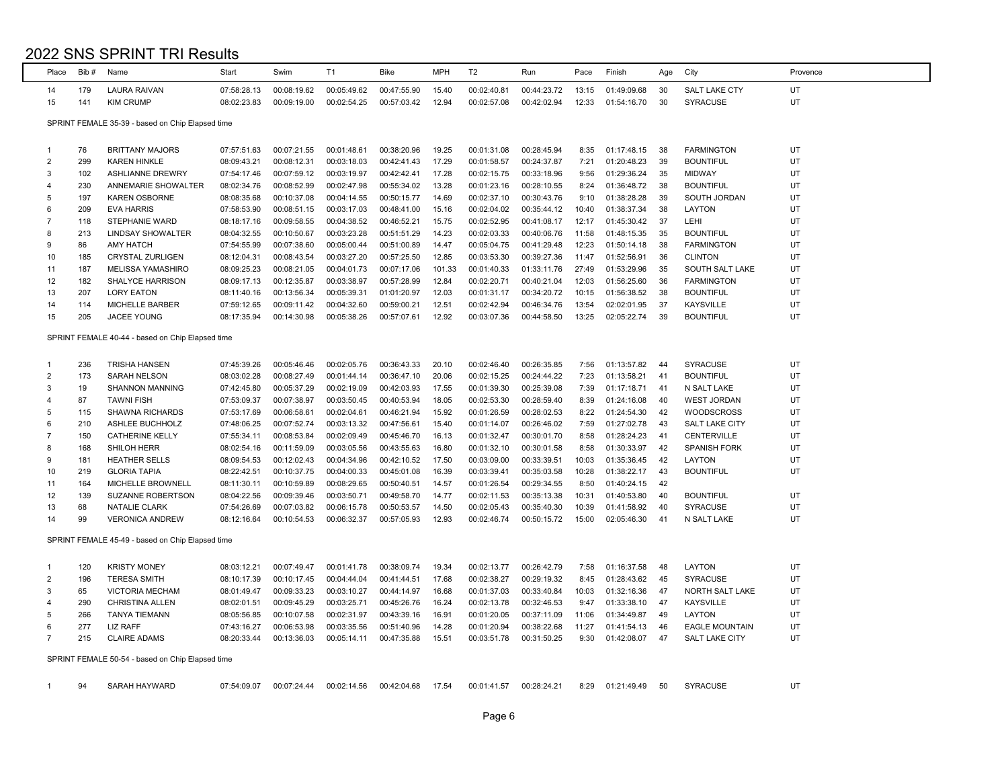| Place          | Bib# | Name                                             | Start       | Swim        | T <sub>1</sub> | Bike        | <b>MPH</b> | T <sub>2</sub> | Run         | Pace  | Finish      | Age | City                  | Provence |
|----------------|------|--------------------------------------------------|-------------|-------------|----------------|-------------|------------|----------------|-------------|-------|-------------|-----|-----------------------|----------|
| 14             | 179  | <b>LAURA RAIVAN</b>                              | 07:58:28.13 | 00:08:19.62 | 00:05:49.62    | 00:47:55.90 | 15.40      | 00:02:40.81    | 00:44:23.72 | 13:15 | 01:49:09.68 | 30  | <b>SALT LAKE CTY</b>  | UT       |
| 15             | 141  | <b>KIM CRUMP</b>                                 | 08:02:23.83 | 00:09:19.00 | 00:02:54.25    | 00:57:03.42 | 12.94      | 00:02:57.08    | 00:42:02.94 | 12:33 | 01:54:16.70 | 30  | <b>SYRACUSE</b>       | UT       |
|                |      |                                                  |             |             |                |             |            |                |             |       |             |     |                       |          |
|                |      | SPRINT FEMALE 35-39 - based on Chip Elapsed time |             |             |                |             |            |                |             |       |             |     |                       |          |
|                |      |                                                  |             |             |                |             |            |                |             |       |             |     |                       |          |
| 1              | 76   | <b>BRITTANY MAJORS</b>                           | 07:57:51.63 | 00:07:21.55 | 00:01:48.61    | 00:38:20.96 | 19.25      | 00:01:31.08    | 00:28:45.94 | 8:35  | 01:17:48.15 | 38  | <b>FARMINGTON</b>     | UT       |
| $\overline{2}$ | 299  | <b>KAREN HINKLE</b>                              | 08:09:43.21 | 00:08:12.31 | 00:03:18.03    | 00:42:41.43 | 17.29      | 00:01:58.57    | 00:24:37.87 | 7:21  | 01:20:48.23 | 39  | <b>BOUNTIFUL</b>      | UT       |
| 3              | 102  | <b>ASHLIANNE DREWRY</b>                          | 07:54:17.46 | 00:07:59.12 | 00:03:19.97    | 00:42:42.41 | 17.28      | 00:02:15.75    | 00:33:18.96 | 9:56  | 01:29:36.24 | 35  | <b>MIDWAY</b>         | UT       |
| 4              | 230  | ANNEMARIE SHOWALTER                              | 08:02:34.76 | 00:08:52.99 | 00:02:47.98    | 00:55:34.02 | 13.28      | 00:01:23.16    | 00:28:10.55 | 8:24  | 01:36:48.72 | 38  | <b>BOUNTIFUL</b>      | UT       |
| 5              | 197  | <b>KAREN OSBORNE</b>                             | 08:08:35.68 | 00:10:37.08 | 00:04:14.55    | 00:50:15.77 | 14.69      | 00:02:37.10    | 00:30:43.76 | 9:10  | 01:38:28.28 | 39  | SOUTH JORDAN          | UT       |
| 6              | 209  | <b>EVA HARRIS</b>                                | 07:58:53.90 | 00:08:51.15 | 00:03:17.03    | 00:48:41.00 | 15.16      | 00:02:04.02    | 00:35:44.12 | 10:40 | 01:38:37.34 | 38  | LAYTON                | UT       |
| $\overline{7}$ | 118  | <b>STEPHANIE WARD</b>                            | 08:18:17.16 | 00:09:58.55 | 00:04:38.52    | 00:46:52.21 | 15.75      | 00:02:52.95    | 00:41:08.17 | 12:17 | 01:45:30.42 | 37  | LEHI                  | UT       |
| 8              | 213  | <b>LINDSAY SHOWALTER</b>                         | 08:04:32.55 | 00:10:50.67 | 00:03:23.28    | 00:51:51.29 | 14.23      | 00:02:03.33    | 00:40:06.76 | 11:58 | 01:48:15.35 | 35  | <b>BOUNTIFUL</b>      | UT       |
| 9              | 86   | <b>AMY HATCH</b>                                 | 07:54:55.99 | 00:07:38.60 | 00:05:00.44    | 00:51:00.89 | 14.47      | 00:05:04.75    | 00:41:29.48 | 12:23 | 01:50:14.18 | 38  | <b>FARMINGTON</b>     | UT       |
| 10             | 185  | <b>CRYSTAL ZURLIGEN</b>                          | 08:12:04.31 | 00:08:43.54 | 00:03:27.20    | 00:57:25.50 | 12.85      | 00:03:53.30    | 00:39:27.36 | 11:47 | 01:52:56.91 | 36  | <b>CLINTON</b>        | UT       |
| 11             | 187  | MELISSA YAMASHIRO                                | 08:09:25.23 | 00:08:21.05 | 00:04:01.73    | 00:07:17.06 | 101.33     | 00:01:40.33    | 01:33:11.76 | 27:49 | 01:53:29.96 | 35  | SOUTH SALT LAKE       | UT       |
| 12             | 182  | <b>SHALYCE HARRISON</b>                          | 08:09:17.13 | 00:12:35.87 | 00:03:38.97    | 00:57:28.99 | 12.84      | 00:02:20.71    | 00:40:21.04 | 12:03 | 01:56:25.60 | 36  | <b>FARMINGTON</b>     | UT       |
| 13             | 207  | <b>LORY EATON</b>                                | 08:11:40.16 | 00:13:56.34 | 00:05:39.31    | 01:01:20.97 | 12.03      | 00:01:31.17    | 00:34:20.72 | 10:15 | 01:56:38.52 | 38  | <b>BOUNTIFUL</b>      | UT       |
| 14             | 114  | MICHELLE BARBER                                  | 07:59:12.65 | 00:09:11.42 | 00:04:32.60    | 00:59:00.21 | 12.51      | 00:02:42.94    | 00:46:34.76 | 13:54 | 02:02:01.95 | 37  | <b>KAYSVILLE</b>      | UT       |
| 15             | 205  | <b>JACEE YOUNG</b>                               | 08:17:35.94 | 00:14:30.98 | 00:05:38.26    | 00:57:07.61 | 12.92      | 00:03:07.36    | 00:44:58.50 | 13:25 | 02:05:22.74 | 39  | <b>BOUNTIFUL</b>      | UT       |
|                |      | SPRINT FEMALE 40-44 - based on Chip Elapsed time |             |             |                |             |            |                |             |       |             |     |                       |          |
|                |      |                                                  |             |             |                |             |            |                |             |       |             |     |                       |          |
| 1              | 236  | <b>TRISHA HANSEN</b>                             | 07:45:39.26 | 00:05:46.46 | 00:02:05.76    | 00:36:43.33 | 20.10      | 00:02:46.40    | 00:26:35.85 | 7:56  | 01:13:57.82 | 44  | <b>SYRACUSE</b>       | UT       |
| $\overline{2}$ | 173  | <b>SARAH NELSON</b>                              | 08:03:02.28 | 00:08:27.49 | 00:01:44.14    | 00:36:47.10 | 20.06      | 00:02:15.25    | 00:24:44.22 | 7:23  | 01:13:58.21 | 41  | <b>BOUNTIFUL</b>      | UT       |
| 3              | 19   | <b>SHANNON MANNING</b>                           | 07:42:45.80 | 00:05:37.29 | 00:02:19.09    | 00:42:03.93 | 17.55      | 00:01:39.30    | 00:25:39.08 | 7:39  | 01:17:18.71 | 41  | N SALT LAKE           | UT       |
| 4              | 87   | <b>TAWNI FISH</b>                                | 07:53:09.37 | 00:07:38.97 | 00:03:50.45    | 00:40:53.94 | 18.05      | 00:02:53.30    | 00:28:59.40 | 8:39  | 01:24:16.08 | 40  | <b>WEST JORDAN</b>    | UT       |
| 5              | 115  | <b>SHAWNA RICHARDS</b>                           | 07:53:17.69 | 00:06:58.61 | 00:02:04.61    | 00:46:21.94 | 15.92      | 00:01:26.59    | 00:28:02.53 | 8:22  | 01:24:54.30 | 42  | <b>WOODSCROSS</b>     | UT       |
| 6              | 210  | ASHLEE BUCHHOLZ                                  | 07:48:06.25 | 00:07:52.74 | 00:03:13.32    | 00:47:56.61 | 15.40      | 00:01:14.07    | 00:26:46.02 | 7:59  | 01:27:02.78 | 43  | <b>SALT LAKE CITY</b> | UT       |
| 7              | 150  | <b>CATHERINE KELLY</b>                           | 07:55:34.11 | 00:08:53.84 | 00:02:09.49    | 00:45:46.70 | 16.13      | 00:01:32.47    | 00:30:01.70 | 8:58  | 01:28:24.23 | 41  | CENTERVILLE           | UT       |
| 8              | 168  | SHILOH HERR                                      | 08:02:54.16 | 00:11:59.09 | 00:03:05.56    | 00:43:55.63 | 16.80      | 00:01:32.10    | 00:30:01.58 | 8:58  | 01:30:33.97 | 42  | <b>SPANISH FORK</b>   | UT       |
| 9              | 181  | <b>HEATHER SELLS</b>                             | 08:09:54.53 | 00:12:02.43 | 00:04:34.96    | 00:42:10.52 | 17.50      | 00:03:09.00    | 00:33:39.51 | 10:03 | 01:35:36.45 | 42  | <b>LAYTON</b>         | UT       |
| 10             | 219  | <b>GLORIA TAPIA</b>                              | 08:22:42.51 | 00:10:37.75 | 00:04:00.33    | 00:45:01.08 | 16.39      | 00:03:39.41    | 00:35:03.58 | 10:28 | 01:38:22.17 | 43  | <b>BOUNTIFUL</b>      | UT       |
| 11             | 164  | <b>MICHELLE BROWNELL</b>                         | 08:11:30.11 | 00:10:59.89 | 00:08:29.65    | 00:50:40.51 | 14.57      | 00:01:26.54    | 00:29:34.55 | 8:50  | 01:40:24.15 | 42  |                       |          |
| 12             | 139  | <b>SUZANNE ROBERTSON</b>                         | 08:04:22.56 | 00:09:39.46 | 00:03:50.71    | 00:49:58.70 | 14.77      | 00:02:11.53    | 00:35:13.38 | 10:31 | 01:40:53.80 | 40  | <b>BOUNTIFUL</b>      | UT       |
| 13             | 68   | <b>NATALIE CLARK</b>                             | 07:54:26.69 | 00:07:03.82 | 00:06:15.78    | 00:50:53.57 | 14.50      | 00:02:05.43    | 00:35:40.30 | 10:39 | 01:41:58.92 | 40  | <b>SYRACUSE</b>       | UT       |
| 14             | 99   | <b>VERONICA ANDREW</b>                           | 08:12:16.64 | 00:10:54.53 | 00:06:32.37    | 00:57:05.93 | 12.93      | 00:02:46.74    | 00:50:15.72 | 15:00 | 02:05:46.30 | 41  | N SALT LAKE           | UT       |
|                |      | SPRINT FEMALE 45-49 - based on Chip Elapsed time |             |             |                |             |            |                |             |       |             |     |                       |          |
|                |      |                                                  |             |             |                |             |            |                |             |       |             |     |                       |          |
| 1              | 120  | <b>KRISTY MONEY</b>                              | 08:03:12.21 | 00:07:49.47 | 00:01:41.78    | 00:38:09.74 | 19.34      | 00:02:13.77    | 00:26:42.79 | 7:58  | 01:16:37.58 | 48  | LAYTON                | UT       |
| $\overline{2}$ | 196  | <b>TERESA SMITH</b>                              | 08:10:17.39 | 00:10:17.45 | 00:04:44.04    | 00:41:44.51 | 17.68      | 00:02:38.27    | 00:29:19.32 | 8:45  | 01:28:43.62 | 45  | <b>SYRACUSE</b>       | UT       |
| 3              | 65   | <b>VICTORIA MECHAM</b>                           | 08:01:49.47 | 00:09:33.23 | 00:03:10.27    | 00:44:14.97 | 16.68      | 00:01:37.03    | 00:33:40.84 | 10:03 | 01:32:16.36 | 47  | NORTH SALT LAKE       | UT       |
| 4              | 290  | CHRISTINA ALLEN                                  | 08:02:01.51 | 00:09:45.29 | 00:03:25.71    | 00:45:26.76 | 16.24      | 00:02:13.78    | 00:32:46.53 | 9:47  | 01:33:38.10 | 47  | <b>KAYSVILLE</b>      | UT       |
| 5              | 266  | <b>TANYA TIEMANN</b>                             | 08:05:56.85 | 00:10:07.58 | 00:02:31.97    | 00:43:39.16 | 16.91      | 00:01:20.05    | 00:37:11.09 | 11:06 | 01:34:49.87 | 49  | LAYTON                | UT       |
| 6              | 277  | <b>LIZ RAFF</b>                                  | 07:43:16.27 | 00:06:53.98 | 00:03:35.56    | 00:51:40.96 | 14.28      | 00:01:20.94    | 00:38:22.68 | 11:27 | 01:41:54.13 | 46  | <b>EAGLE MOUNTAIN</b> | UT       |
| $\overline{7}$ | 215  | <b>CLAIRE ADAMS</b>                              | 08:20:33.44 | 00:13:36.03 | 00:05:14.11    | 00:47:35.88 | 15.51      | 00:03:51.78    | 00:31:50.25 | 9:30  | 01:42:08.07 | 47  | <b>SALT LAKE CITY</b> | UT       |
|                |      | SPRINT FEMALE 50-54 - based on Chip Elapsed time |             |             |                |             |            |                |             |       |             |     |                       |          |
|                |      |                                                  |             |             |                |             |            |                |             |       |             |     |                       |          |
| $\mathbf{1}$   | 94   | <b>SARAH HAYWARD</b>                             | 07:54:09.07 | 00:07:24.44 | 00:02:14.56    | 00:42:04.68 | 17.54      | 00:01:41.57    | 00:28:24.21 | 8:29  | 01:21:49.49 | 50  | SYRACUSE              | UT       |